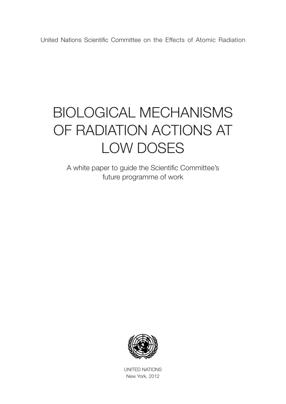United Nations Scientific Committee on the Effects of Atomic Radiation

# BIOLOGICAL MECHANISMS OF RADIATION ACTIONS AT LOW DOSES

A white paper to guide the Scientific Committee's future programme of work



UNITED NATIONS New York, 2012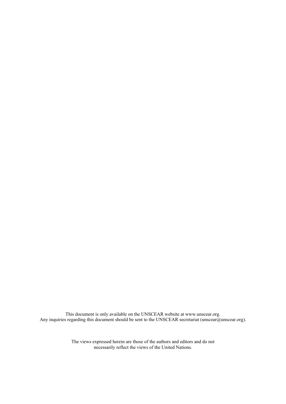This document is only available on the UNSCEAR website at www.unscear.org. Any inquiries regarding this document should be sent to the UNSCEAR secretariat (unscear@unscear.org).

> The views expressed herein are those of the authors and editors and do not necessarily reflect the views of the United Nations.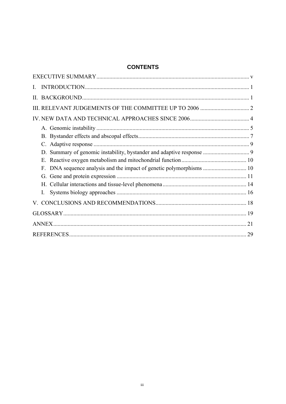# **CONTENTS**

| $\mathbf{L}$ |  |
|--------------|--|
|              |  |
|              |  |
|              |  |
|              |  |
|              |  |
|              |  |
|              |  |
|              |  |
| F.           |  |
|              |  |
|              |  |
| I.           |  |
|              |  |
|              |  |
|              |  |
|              |  |
|              |  |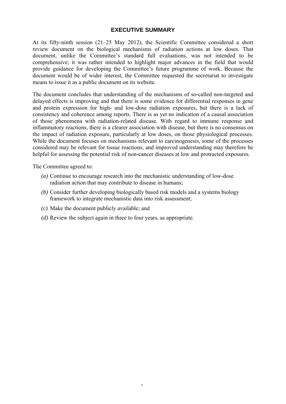#### **EXECUTIVE SUMMARY**

At its fifty-ninth session (21–25 May 2012), the Scientific Committee considered a short review document on the biological mechanisms of radiation actions at low doses. That document, unlike the Committee's standard full evaluations, was not intended to be comprehensive; it was rather intended to highlight major advances in the field that would provide guidance for developing the Committee's future programme of work. Because the document would be of wider interest, the Committee requested the secretariat to investigate means to issue it as a public document on its website.

The document concludes that understanding of the mechanisms of so-called non-targeted and delayed effects is improving and that there is some evidence for differential responses in gene and protein expression for high- and low-dose radiation exposures, but there is a lack of consistency and coherence among reports. There is as yet no indication of a causal association of those phenomena with radiation-related disease. With regard to immune response and inflammatory reactions, there is a clearer association with disease, but there is no consensus on the impact of radiation exposure, particularly at low doses, on those physiological processes. While the document focuses on mechanisms relevant to carcinogenesis, some of the processes considered may be relevant for tissue reactions, and improved understanding may therefore be helpful for assessing the potential risk of non-cancer diseases at low and protracted exposures.

The Committee agreed to:

- *(a)* Continue to encourage research into the mechanistic understanding of low-dose radiation action that may contribute to disease in humans;
- *(b)* Consider further developing biologically based risk models and a systems biology framework to integrate mechanistic data into risk assessment;
- *(c)* Make the document publicly available; and
- *(d)* Review the subject again in three to four years, as appropriate.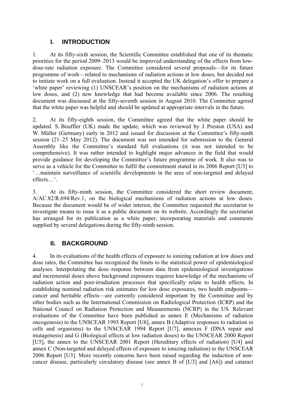# **I. INTRODUCTION**

<span id="page-6-0"></span>1. At its fifty-sixth session, the Scientific Committee established that one of its thematic priorities for the period 2009–2013 would be improved understanding of the effects from lowdose-rate radiation exposure. The Committee considered several proposals—for its future programme of work—related to mechanisms of radiation actions at low doses, but decided not to initiate work on a full evaluation. Instead it accepted the UK delegation's offer to prepare a 'white paper' reviewing (1) UNSCEAR's position on the mechanisms of radiation actions at low doses, and (2) new knowledge that had become available since 2006. The resulting document was discussed at the fifty-seventh session in August 2010. The Committee agreed that the white paper was helpful and should be updated at appropriate intervals in the future.

2. At its fifty-eighth session, the Committee agreed that the white paper should be updated. S. Bouffler (UK) made the update, which was reviewed by J. Preston (USA) and W. Müller (Germany) early in 2012 and issued for discussion at the Committee's fifty-ninth session (21–25 May 2012). The document was not intended for submission to the General Assembly like the Committee's standard full evaluations (it was not intended to be comprehensive). It was rather intended to highlight major advances in the field that would provide guidance for developing the Committee's future programme of work. It also was to serve as a vehicle for the Committee to fulfil the commitment stated in its 2006 Report [U3] to '…maintain surveillance of scientific developments in the area of non-targeted and delayed effects…'.

3. At its fifty-ninth session, the Committee considered the short review document, A/AC.82/R.694/Rev.1, on the biological mechanisms of radiation actions at low doses. Because the document would be of wider interest, the Committee requested the secretariat to investigate means to issue it as a public document on its website. Accordingly the secretariat has arranged for its publication as a white paper, incorporating materials and comments supplied by several delegations during the fifty-ninth session.

# **II. BACKGROUND**

4. In its evaluations of the health effects of exposure to ionizing radiation at low doses and dose rates, the Committee has recognized the limits to the statistical power of epidemiological analyses. Interpolating the dose–response between data from epidemiological investigations and incremental doses above background exposures requires knowledge of the mechanisms of radiation action and post-irradiation processes that specifically relate to health effects. In establishing nominal radiation risk estimates for low dose exposures, two health endpoints cancer and heritable effects—are currently considered important by the Committee and by other bodies such as the International Commission on Radiological Protection (ICRP) and the National Council on Radiation Protection and Measurements (NCRP) in the US. Relevant evaluations of the Committee have been published as annex E (Mechanisms of radiation oncogenesis) to the UNSCEAR 1993 Report [U8], annex B (Adaptive responses to radiation in cells and organisms) to the UNSCEAR 1994 Report [U7], annexes F (DNA repair and mutagenesis) and G (Biological effects at low radiation doses) to the UNSCEAR 2000 Report [U5], the annex to the UNSCEAR 2001 Report (Hereditary effects of radiation) [U4] and annex C (Non-targeted and delayed effects of exposure to ionizing radiation) to the UNSCEAR 2006 Report [U3]. More recently concerns have been raised regarding the induction of noncancer disease, particularly circulatory disease (see annex B of [U3] and [A6]) and cataract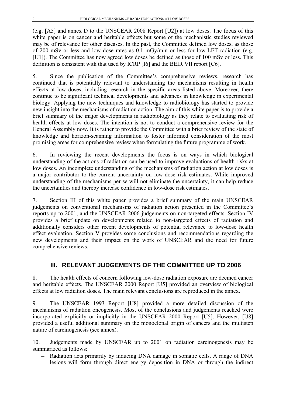<span id="page-7-0"></span>(e.g. [A5] and annex D to the UNSCEAR 2008 Report [U2]) at low doses. The focus of this white paper is on cancer and heritable effects but some of the mechanistic studies reviewed may be of relevance for other diseases. In the past, the Committee defined low doses, as those of 200 mSv or less and low dose rates as 0.1 mGy/min or less for low-LET radiation (e.g. [U1]). The Committee has now agreed low doses be defined as those of 100 mSv or less. This definition is consistent with that used by ICRP [I6] and the BEIR VII report [C6].

5. Since the publication of the Committee's comprehensive reviews, research has continued that is potentially relevant to understanding the mechanisms resulting in health effects at low doses, including research in the specific areas listed above. Moreover, there continue to be significant technical developments and advances in knowledge in experimental biology. Applying the new techniques and knowledge to radiobiology has started to provide new insight into the mechanisms of radiation action. The aim of this white paper is to provide a brief summary of the major developments in radiobiology as they relate to evaluating risk of health effects at low doses. The intention is not to conduct a comprehensive review for the General Assembly now. It is rather to provide the Committee with a brief review of the state of knowledge and horizon-scanning information to foster informed consideration of the most promising areas for comprehensive review when formulating the future programme of work.

6. In reviewing the recent developments the focus is on ways in which biological understanding of the actions of radiation can be used to improve evaluations of health risks at low doses. An incomplete understanding of the mechanisms of radiation action at low doses is a major contributor to the current uncertainty on low-dose risk estimates. While improved understanding of the mechanisms per se will not eliminate the uncertainty, it can help reduce the uncertainties and thereby increase confidence in low-dose risk estimates.

7. Section [III](#page-7-1) of this white paper provides a brief summary of the main UNSCEAR judgements on conventional mechanisms of radiation action presented in the Committee's reports up to 2001, and the UNSCEAR 2006 judgements on non-targeted effects. Section [IV](#page-9-1) provides a brief update on developments related to non-targeted effects of radiation and additionally considers other recent developments of potential relevance to low-dose health effect evaluation. Section [V](#page-23-1) provides some conclusions and recommendations regarding the new developments and their impact on the work of UNSCEAR and the need for future comprehensive reviews.

## **III. RELEVANT JUDGEMENTS OF THE COMMITTEE UP TO 2006**

<span id="page-7-1"></span>8. The health effects of concern following low-dose radiation exposure are deemed cancer and heritable effects. The UNSCEAR 2000 Report [U5] provided an overview of biological effects at low radiation doses. The main relevant conclusions are reproduced in the annex.

<span id="page-7-2"></span>9. The UNSCEAR 1993 Report [U8] provided a more detailed discussion of the mechanisms of radiation oncogenesis. Most of the conclusions and judgements reached were incorporated explicitly or implicitly in the UNSCEAR 2000 Report [U5]. However, [U8] provided a useful additional summary on the monoclonal origin of cancers and the multistep nature of carcinogenesis (see annex).

10. Judgements made by UNSCEAR up to 2001 on radiation carcinogenesis may be summarized as follows:

Radiation acts primarily by inducing DNA damage in somatic cells. A range of DNA lesions will form through direct energy deposition in DNA or through the indirect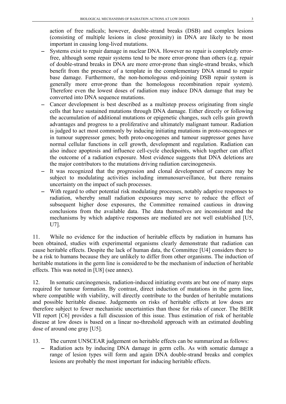action of free radicals; however, double-strand breaks (DSB) and complex lesions (consisting of multiple lesions in close proximity) in DNA are likely to be most important in causing long-lived mutations.

- Systems exist to repair damage in nuclear DNA. However no repair is completely errorfree, although some repair systems tend to be more error-prone than others (e.g. repair of double-strand breaks in DNA are more error-prone than single-strand breaks, which benefit from the presence of a template in the complementary DNA strand to repair base damage. Furthermore, the non-homologous end-joining DSB repair system is generally more error-prone than the homologous recombination repair system). Therefore even the lowest doses of radiation may induce DNA damage that may be converted into DNA sequence mutations.
- Cancer development is best described as a multistep process originating from single cells that have sustained mutations through DNA damage. Either directly or following the accumulation of additional mutations or epigenetic changes, such cells gain growth advantages and progress to a proliferative and ultimately malignant tumour. Radiation is judged to act most commonly by inducing initiating mutations in proto-oncogenes or in tumour suppressor genes; both proto-oncogenes and tumour suppressor genes have normal cellular functions in cell growth, development and regulation. Radiation can also induce apoptosis and influence cell-cycle checkpoints, which together can affect the outcome of a radiation exposure. Most evidence suggests that DNA deletions are the major contributors to the mutations driving radiation carcinogenesis.
- It was recognized that the progression and clonal development of cancers may be subject to modulating activities including immunosurveillance, but there remains uncertainty on the impact of such processes.
- With regard to other potential risk modulating processes, notably adaptive responses to radiation, whereby small radiation exposures may serve to reduce the effect of subsequent higher dose exposures, the Committee remained cautious in drawing conclusions from the available data. The data themselves are inconsistent and the mechanisms by which adaptive responses are mediated are not well established [U5, U7].

11. While no evidence for the induction of heritable effects by radiation in humans has been obtained, studies with experimental organisms clearly demonstrate that radiation can cause heritable effects. Despite the lack of human data, the Committee [U4] considers there to be a risk to humans because they are unlikely to differ from other organisms. The induction of heritable mutations in the germ line is considered to be the mechanism of induction of heritable effects. This was noted in [U8] (see annex).

12. In somatic carcinogenesis, radiation-induced initiating events are but one of many steps required for tumour formation. By contrast, direct induction of mutations in the germ line, where compatible with viability, will directly contribute to the burden of heritable mutations and possible heritable disease. Judgements on risks of heritable effects at low doses are therefore subject to fewer mechanistic uncertainties than those for risks of cancer. The BEIR VII report [C6] provides a full discussion of this issue. Thus estimation of risk of heritable disease at low doses is based on a linear no-threshold approach with an estimated doubling dose of around one gray [U5].

- <span id="page-8-0"></span>13. The current UNSCEAR judgement on heritable effects can be summarized as follows:
	- Radiation acts by inducing DNA damage in germ cells. As with somatic damage a range of lesion types will form and again DNA double-strand breaks and complex lesions are probably the most important for inducing heritable effects.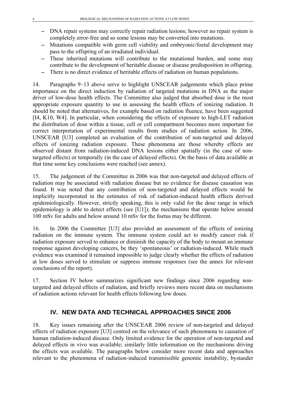- <span id="page-9-0"></span>− DNA repair systems may correctly repair radiation lesions; however no repair system is completely error-free and so some lesions may be converted into mutations.
- − Mutations compatible with germ cell viability and embryonic/foetal development may pass to the offspring of an irradiated individual.
- − These inherited mutations will contribute to the mutational burden, and some may contribute to the development of heritable disease or disease predisposition in offspring.
- − There is no direct evidence of heritable effects of radiation on human populations.

14. Paragraphs [9–](#page-7-2)[13](#page-8-0) above serve to highlight UNSCEAR judgements which place prime importance on the direct induction by radiation of targeted mutations in DNA as the major driver of low-dose health effects. The Committee also judged that absorbed dose is the most appropriate exposure quantity to use in assessing the health effects of ionizing radiation. It should be noted that alternatives, for example based on radiation fluence, have been suggested [I4, K10, W4]. In particular, when considering the effects of exposure to high-LET radiation the distribution of dose within a tissue, cell or cell compartment becomes more important for correct interpretation of experimental results from studies of radiation action. In 2006, UNSCEAR [U3] completed an evaluation of the contribution of non-targeted and delayed effects of ionizing radiation exposure. These phenomena are those whereby effects are observed distant from radiation-induced DNA lesions either spatially (in the case of nontargeted effects) or temporally (in the case of delayed effects). On the basis of data available at that time some key conclusions were reached (see annex).

15. The judgement of the Committee in 2006 was that non-targeted and delayed effects of radiation may be associated with radiation disease but no evidence for disease causation was found. It was noted that any contribution of non-targeted and delayed effects would be implicitly incorporated in the estimates of risk of radiation-induced health effects derived epidemiologically. However, strictly speaking, this is only valid for the dose range in which epidemiology is able to detect effects (see [U1]); the mechanisms that operate below around 100 mSv for adults and below around 10 mSv for the foetus may be different.

16. In 2006 the Committee [U3] also provided an assessment of the effects of ionizing radiation on the immune system. The immune system could act to modify cancer risk if radiation exposure served to enhance or diminish the capacity of the body to mount an immune response against developing cancers, be they 'spontaneous' or radiation-induced. While much evidence was examined it remained impossible to judge clearly whether the effects of radiation at low doses served to stimulate or suppress immune responses (see the annex for relevant conclusions of the report).

17. Section [IV](#page-9-1) below summarizes significant new findings since 2006 regarding nontargeted and delayed effects of radiation, and briefly reviews more recent data on mechanisms of radiation actions relevant for health effects following low doses.

# **IV. NEW DATA AND TECHNICAL APPROACHES SINCE 2006**

<span id="page-9-1"></span>18. Key issues remaining after the UNSCEAR 2006 review of non-targeted and delayed effects of radiation exposure [U3] centred on the relevance of such phenomena to causation of human radiation-induced disease. Only limited evidence for the operation of non-targeted and delayed effects in vivo was available; similarly little information on the mechanisms driving the effects was available. The paragraphs below consider more recent data and approaches relevant to the phenomena of radiation-induced transmissible genomic instability, bystander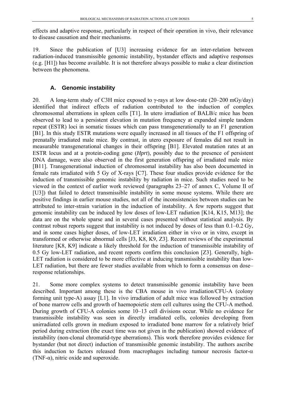<span id="page-10-0"></span>effects and adaptive response, particularly in respect of their operation in vivo, their relevance to disease causation and their mechanisms.

19. Since the publication of [U3] increasing evidence for an inter-relation between radiation-induced transmissible genomic instability, bystander effects and adaptive responses (e.g. [H1]) has become available. It is not therefore always possible to make a clear distinction between the phenomena.

#### **A. Genomic instability**

20. A long-term study of C3H mice exposed to  $\gamma$ -rays at low dose-rate (20–200 mGy/day) identified that indirect effects of radiation contributed to the induction of complex chromosomal aberrations in spleen cells [T1]. In utero irradiation of BALB/c mice has been observed to lead to a persistent elevation in mutation frequency at expanded simple tandem repeat (ESTR) loci in somatic tissues which can pass transgenerationally to an F1 generation [B1]. In this study ESTR mutations were equally increased in all tissues of the F1 offspring of prenatally irradiated male mice. By contrast, in utero exposure of females did not result in measurable transgenerational changes in their offspring [B1]. Elevated mutation rates at an ESTR locus and at a protein-coding gene (*Hprt*), possibly due to the presence of persistent DNA damage, were also observed in the first generation offspring of irradiated male mice [B11]. Transgenerational induction of chromosomal instability has also been documented in female rats irradiated with 5 Gy of X-rays [C7]. These four studies provide evidence for the induction of transmissible genomic instability by radiation in mice. Such studies need to be viewed in the context of earlier work reviewed (paragraphs 23–27 of annex C, Volume II of [U3]) that failed to detect transmissible instability in some mouse systems. While there are positive findings in earlier mouse studies, not all of the inconsistencies between studies can be attributed to inter-strain variation in the induction of instability. A few reports suggest that genomic instability can be induced by low doses of low-LET radiation [K14, K15, M13]; the data are on the whole sparse and in several cases presented without statistical analysis. By contrast robust reports suggest that instability is not induced by doses of less than 0.1–0.2 Gy, and in some cases higher doses, of low-LET irradiation either in vivo or in vitro, except in transformed or otherwise abnormal cells [J3, K8, K9, Z3]. Recent reviews of the experimental literature [K8, K9] indicate a likely threshold for the induction of transmissible instability of 0.5 Gy low-LET radiation, and recent reports confirm this conclusion [Z3]. Generally, high-LET radiation is considered to be more effective at inducing transmissible instability than low-LET radiation, but there are fewer studies available from which to form a consensus on dose– response relationships.

21. Some more complex systems to detect transmissible genomic instability have been described. Important among these is the CBA mouse in vivo irradiation/CFU-A (colony forming unit type-A) assay [L1]. In vivo irradiation of adult mice was followed by extraction of bone marrow cells and growth of haemopoietic stem cell cultures using the CFU-A method. During growth of CFU-A colonies some 10–13 cell divisions occur. While no evidence for transmissible instability was seen in directly irradiated cells, colonies developing from unirradiated cells grown in medium exposed to irradiated bone marrow for a relatively brief period during extraction (the exact time was not given in the publication) showed evidence of instability (non-clonal chromatid-type aberrations). This work therefore provides evidence for bystander (but not direct) induction of transmissible genomic instability. The authors ascribe this induction to factors released from macrophages including tumour necrosis factor- $\alpha$ (TNF- $\alpha$ ), nitric oxide and superoxide.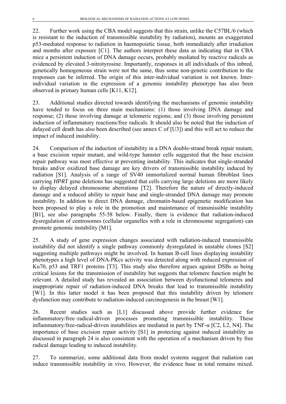22. Further work using the CBA model suggests that this strain, unlike the C57BL/6 (which is resistant to the induction of transmissible instability by radiation), mounts an exaggerated p53-mediated response to radiation in haemopoietic tissue, both immediately after irradiation and months after exposure [C1]. The authors interpret these data as indicating that in CBA mice a persistent induction of DNA damage occurs, probably mediated by reactive radicals as evidenced by elevated 3-nitrotyrosine. Importantly, responses in all individuals of this inbred, genetically homogeneous strain were not the same, thus some non-genetic contribution to the responses can be inferred. The origin of this inter-individual variation is not known. Interindividual variation in the expression of a genomic instability phenotype has also been observed in primary human cells [K11, K12].

23. Additional studies directed towards identifying the mechanisms of genomic instability have tended to focus on three main mechanisms: (1) those involving DNA damage and response; (2) those involving damage at telomeric regions; and (3) those involving persistent induction of inflammatory reactions/free radicals. It should also be noted that the induction of delayed cell death has also been described (see annex C of [U3]) and this will act to reduce the impact of induced instability.

<span id="page-11-0"></span>24. Comparison of the induction of instability in a DNA double-strand break repair mutant, a base excision repair mutant, and wild-type hamster cells suggested that the base excision repair pathway was most effective at preventing instability. This indicates that single-stranded breaks and/or oxidized base damage are key drivers of transmissible instability induced by radiation [S1]. Analysis of a range of SV40 immortalized normal human fibroblast lines carrying *HPRT* gene deletions has suggested that cells carrying large deletions are more likely to display delayed chromosome aberrations [T2]. Therefore the nature of directly-induced damage and a reduced ability to repair base and single-stranded DNA damage may promote instability. In addition to direct DNA damage, chromatin-based epigenetic modification has been proposed to play a role in the promotion and maintenance of transmissible instability [B1], see also paragraphs [55-](#page-18-0)[58](#page-19-1) below. Finally, there is evidence that radiation-induced dysregulation of centrosomes (cellular organelles with a role in chromosome segregation) can promote genomic instability [M1].

25. A study of gene expression changes associated with radiation-induced transmissible instability did not identify a single pathway commonly dysregulated in unstable clones [S2] suggesting multiple pathways might be involved. In human B-cell lines displaying instability phenotypes a high level of DNA-PKcs activity was detected along with reduced expression of Ku70, p53 and TRF1 proteins [T3]. This study also therefore argues against DSBs as being critical lesions for the transmission of instability but suggests that telomere function might be relevant. A detailed study has revealed an association between dysfunctional telomeres and inappropriate repair of radiation-induced DNA breaks that lead to transmissible instability [W1]. In this latter model it has been proposed that this instability driven by telomere dysfunction may contribute to radiation-induced carcinogenesis in the breast [W1].

26. Recent studies such as [L1] discussed above provide further evidence for inflammatory/free–radical-driven processes promoting transmissible instability. These inflammatory/free-radical-driven instabilities are mediated in part by TNF-α [C2, L2, N4]. The importance of base excision repair activity [S1] in protecting against induced instability as discussed in paragraph [24](#page-11-0) is also consistent with the operation of a mechanism driven by free radical damage leading to induced instability.

27. To summarize, some additional data from model systems suggest that radiation can induce transmissible instability in vivo. However, the evidence base in total remains mixed.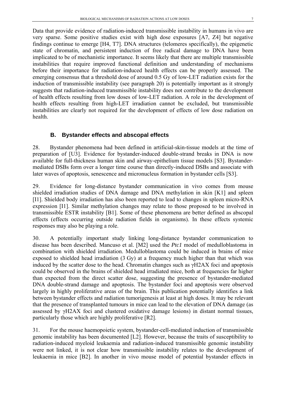<span id="page-12-0"></span>Data that provide evidence of radiation-induced transmissible instability in humans in vivo are very sparse. Some positive studies exist with high dose exposures [A7, Z4] but negative findings continue to emerge [H4, T7]. DNA structures (telomeres specifically), the epigenetic state of chromatin, and persistent induction of free radical damage to DNA have been implicated to be of mechanistic importance. It seems likely that there are multiple transmissible instabilities that require improved functional definition and understanding of mechanisms before their importance for radiation-induced health effects can be properly assessed. The emerging consensus that a threshold dose of around 0.5 Gy of low-LET radiation exists for the induction of transmissible instability (see paragraph 20) is potentially important as it strongly suggests that radiation-induced transmissible instability does not contribute to the development of health effects resulting from low doses of low-LET radiation. A role in the development of health effects resulting from high-LET irradiation cannot be excluded, but transmissible instabilities are clearly not required for the development of effects of low dose radiation on health.

#### **B. Bystander effects and abscopal effects**

28. Bystander phenomena had been defined in artificial-skin-tissue models at the time of preparation of [U3]. Evidence for bystander-induced double-strand breaks in DNA is now available for full-thickness human skin and airway-epithelium tissue models [S3]. Bystandermediated DSBs form over a longer time course than directly-induced DSBs and associate with later waves of apoptosis, senescence and micronucleus formation in bystander cells [S3].

29. Evidence for long-distance bystander communication in vivo comes from mouse shielded irradiation studies of DNA damage and DNA methylation in skin [K1] and spleen [I1]. Shielded body irradiation has also been reported to lead to changes in spleen micro-RNA expression [I1]. Similar methylation changes may relate to those proposed to be involved in transmissible ESTR instability [B1]. Some of these phenomena are better defined as abscopal effects (effects occurring outside radiation fields in organisms). In these effects systemic responses may also be playing a role.

30. A potentially important study linking long-distance bystander communication to disease has been described. Mancuso et al. [M2] used the *Ptc1* model of medulloblastoma in combination with shielded irradiation. Medulloblastoma could be induced in brains of mice exposed to shielded head irradiation (3 Gy) at a frequency much higher than that which was induced by the scatter dose to the head. Chromatin changes such as γH2AX foci and apoptosis could be observed in the brains of shielded head irradiated mice, both at frequencies far higher than expected from the direct scatter dose, suggesting the presence of bystander-mediated DNA double-strand damage and apoptosis. The bystander foci and apoptosis were observed largely in highly proliferative areas of the brain. This publication potentially identifies a link between bystander effects and radiation tumorigenesis at least at high doses. It may be relevant that the presence of transplanted tumours in mice can lead to the elevation of DNA damage (as assessed by γH2AX foci and clustered oxidative damage lesions) in distant normal tissues, particularly those which are highly proliferative [R2].

31. For the mouse haemopoietic system, bystander-cell-mediated induction of transmissible genomic instability has been documented [L2]. However, because the traits of susceptibility to radiation-induced myeloid leukaemia and radiation-induced transmissible genomic instability were not linked, it is not clear how transmissible instability relates to the development of leukaemia in mice [B2]. In another in vivo mouse model of potential bystander effects in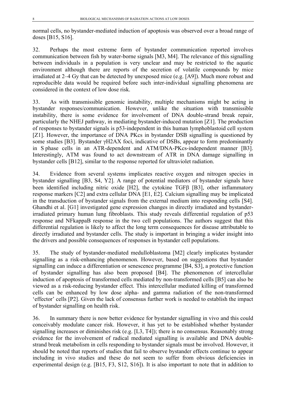normal cells, no bystander-mediated induction of apoptosis was observed over a broad range of doses [B15, S16].

32. Perhaps the most extreme form of bystander communication reported involves communication between fish by water-borne signals [M3, M4]. The relevance of this signalling between individuals in a population is very unclear and may be restricted to the aquatic environment although there are reports of the secretion of volatile compounds by mice irradiated at 2–4 Gy that can be detected by unexposed mice (e.g. [A9]). Much more robust and reproducible data would be required before such inter-individual signalling phenomena are considered in the context of low dose risk.

33. As with transmissible genomic instability, multiple mechanisms might be acting in bystander responses/communication. However, unlike the situation with transmissible instability, there is some evidence for involvement of DNA double-strand break repair, particularly the NHEJ pathway, in mediating bystander-induced mutation [Z1]. The production of responses to bystander signals is p53-independent in this human lymphoblastoid cell system [Z1]. However, the importance of DNA PKcs in bystander DSB signalling is questioned by some studies [B3]. Bystander γH2AX foci, indicative of DSBs, appear to form predominantly in S phase cells in an ATR-dependent and ATM/DNA-PKcs-independent manner [B3]. Interestingly, ATM was found to act downstream of ATR in DNA damage signalling in bystander cells [B12], similar to the response reported for ultraviolet radiation.

34. Evidence from several systems implicates reactive oxygen and nitrogen species in bystander signalling [B3, S4, Y2]. A range of potential mediators of bystander signals have been identified including nitric oxide [H2], the cytokine TGFβ [B3], other inflammatory response markers [C2] and extra cellular DNA [E1, E2]. Calcium signalling may be implicated in the transduction of bystander signals from the external medium into responding cells [S4]. Ghandhi et al. [G1] investigated gene expression changes in directly irradiated and bystanderirradiated primary human lung fibroblasts. This study reveals differential regulation of p53 response and NFkappaB response in the two cell populations. The authors suggest that this differential regulation is likely to affect the long term consequences for disease attributable to directly irradiated and bystander cells. The study is important in bringing a wider insight into the drivers and possible consequences of responses in bystander cell populations.

<span id="page-13-0"></span>35. The study of bystander-mediated medulloblastoma [M2] clearly implicates bystander signalling as a risk-enhancing phenomenon. However, based on suggestions that bystander signalling can induce a differentiation or senescence programme [B4, S3], a protective function of bystander signalling has also been proposed [B4]. The phenomenon of intercellular induction of apoptosis of transformed cells mediated by non-transformed cells [B5] can also be viewed as a risk-reducing bystander effect. This intercellular mediated killing of transformed cells can be enhanced by low dose alpha- and gamma radiation of the non-transformed 'effector' cells [P2]. Given the lack of consensus further work is needed to establish the impact of bystander signalling on health risk.

36. In summary there is now better evidence for bystander signalling in vivo and this could conceivably modulate cancer risk. However, it has yet to be established whether bystander signalling increases or diminishes risk (e.g. [L3, T4]); there is no consensus. Reasonably strong evidence for the involvement of radical mediated signalling is available and DNA doublestrand break metabolism in cells responding to bystander signals must be involved. However, it should be noted that reports of studies that fail to observe bystander effects continue to appear including in vivo studies and these do not seem to suffer from obvious deficiencies in experimental design (e.g. [B15, F3, S12, S16]). It is also important to note that in addition to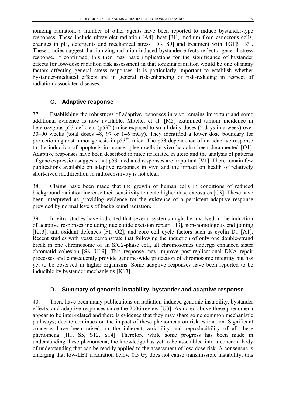<span id="page-14-0"></span>ionizing radiation, a number of other agents have been reported to induce bystander-type responses. These include ultraviolet radiation [A4], heat [J1], medium from cancerous cells, changes in pH, detergents and mechanical stress [D3, S9] and treatment with TGFβ [B3]. These studies suggest that ionizing radiation-induced bystander effects reflect a general stress response. If confirmed, this then may have implications for the significance of bystander effects for low-dose radiation risk assessment in that ionizing radiation would be one of many factors affecting general stress responses. It is particularly important to establish whether bystander-mediated effects are in general risk-enhancing or risk-reducing in respect of radiation-associated diseases.

#### **C. Adaptive response**

37. Establishing the robustness of adaptive responses in vivo remains important and some additional evidence is now available. Mitchel et al. [M5] examined tumour incidence in heterozygous p53-deficient ( $p53^{+/}$ ) mice exposed to small daily doses (5 days in a week) over 30–90 weeks (total doses 48, 97 or 146 mGy). They identified a lower dose boundary for protection against tumorigenesis in  $p53^{+/}$  mice. The p53-dependence of an adaptive response to the induction of apoptosis in mouse spleen cells in vivo has also been documented [O1]. Adaptive responses have been described in mice irradiated in utero and the analysis of patterns of gene expression suggests that p53-mediated responses are important [V1]. There remain few publications available on adaptive responses in vivo and the impact on health of relatively short-lived modification in radiosensitivity is not clear.

38. Claims have been made that the growth of human cells in conditions of reduced background radiation increase their sensitivity to acute higher dose exposures [C3]. These have been interpreted as providing evidence for the existence of a persistent adaptive response provided by normal levels of background radiation.

39. In vitro studies have indicated that several systems might be involved in the induction of adaptive responses including nucleotide excision repair [H3], non-homologous end joining [K13], anti-oxidant defences [F1, O2], and core cell cycle factors such as cyclin D1 [A1]. Recent studies with yeast demonstrate that following the induction of only one double-strand break in one chromosome of an S/G2-phase cell, all chromosomes undergo enhanced sister chromatid cohesion [S8, U19]. This response may improve post-replicational DNA repair processes and consequently provide genome-wide protection of chromosome integrity but has yet to be observed in higher organisms. Some adaptive responses have been reported to be inducible by bystander mechanisms [K13].

#### **D. Summary of genomic instability, bystander and adaptive response**

40. There have been many publications on radiation-induced genomic instability, bystander effects, and adaptive responses since the 2006 review [U3]. As noted above these phenomena appear to be inter-related and there is evidence that they may share some common mechanistic pathways; debate continues on the impact of these phenomena on risk estimation. Significant concerns have been raised on the inherent variability and reproducibility of all these phenomena [H1, S5, S12, S14]. Therefore while some progress has been made in understanding these phenomena, the knowledge has yet to be assembled into a coherent body of understanding that can be readily applied to the assessment of low-dose risk. A consensus is emerging that low-LET irradiation below 0.5 Gy does not cause transmissible instability; this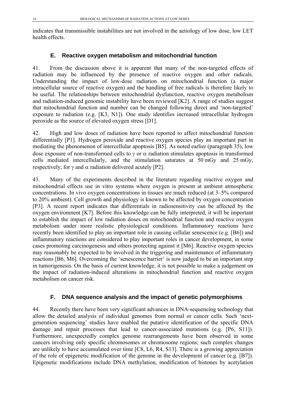<span id="page-15-0"></span>indicates that transmissible instabilities are not involved in the aetiology of low dose, low LET health effects.

## **E. Reactive oxygen metabolism and mitochondrial function**

41. From the discussion above it is apparent that many of the non-targeted effects of radiation may be influenced by the presence of reactive oxygen and other radicals. Understanding the impact of low-dose radiation on mitochondrial function (a major intracellular source of reactive oxygen) and the handling of free radicals is therefore likely to be useful. The relationships between mitochondrial dysfunction, reactive oxygen metabolism and radiation-induced genomic instability have been reviewed [K2]. A range of studies suggest that mitochondrial function and number can be changed following direct and 'non-targeted' exposure to radiation (e.g. [K3, N1]). One study identifies increased intracellular hydrogen peroxide as the source of elevated oxygen stress [D1].

42. High and low doses of radiation have been reported to affect mitochondrial function differentially [P1]. Hydrogen peroxide and reactive oxygen species play an important part in mediating the phenomenon of intercellular apoptosis [B5]. As noted earlier (paragraph [35](#page-13-0)), low dose exposure of non-transformed cells to  $\gamma$  or  $\alpha$  radiation stimulates apoptosis in transformed cells mediated intercellularly, and the stimulation saturates at 50 mGy and 25 mGy, respectively, for  $\gamma$  and  $\alpha$  radiation delivered acutely [P2].

43. Many of the experiments described in the literature regarding reactive oxygen and mitochondrial effects use in vitro systems where oxygen is present at ambient atmospheric concentrations. In vivo oxygen concentrations in tissues are much reduced (at 3–5% compared to 20% ambient). Cell growth and physiology is known to be affected by oxygen concentration [P3]. A recent report indicates that differentials in radiosensitivity can be affected by the oxygen environment [K7]. Before this knowledge can be fully interpreted, it will be important to establish the impact of low radiation doses on mitochondrial function and reactive oxygen metabolism under more realistic physiological conditions. Inflammatory reactions have recently been identified to play an important role in causing cellular senescence (e.g. [B6]) and inflammatory reactions are considered to play important roles in cancer development, in some cases promoting carcinogenesis and others protecting against it [M6]. Reactive oxygen species may reasonably be expected to be involved in the triggering and maintenance of inflammatory reactions [B6, M6]. Overcoming the 'senescence barrier' is now judged to be an important step in tumorigenesis. On the basis of current knowledge, it is not possible to make a judgement on the impact of radiation-induced alterations in mitochondrial function and reactive oxygen metabolism on cancer risk.

### **F. DNA sequence analysis and the impact of genetic polymorphisms**

44. Recently there have been very significant advances in DNA-sequencing technology that allow the detailed analysis of individual genomes from normal or cancer cells. Such 'nextgeneration sequencing' studies have enabled the putative identification of the specific DNA damage and repair processes that lead to cancer-associated mutations (e.g. [P6, S11]). Furthermore, unexpectedly complex genome rearrangements have been observed in some cancers involving only specific chromosomes or chromosome regions; such complex changes are unlikely to have accumulated over time [C8, L6, R4, S13]. There is a growing appreciation of the role of epigenetic modification of the genome in the development of cancer (e.g. [B7]). Epigenetic modifications include DNA methylation, modification of histones by acetylation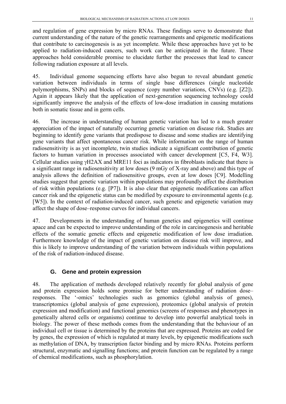<span id="page-16-0"></span>and regulation of gene expression by micro RNAs. These findings serve to demonstrate that current understanding of the nature of the genetic rearrangements and epigenetic modifications that contribute to carcinogenesis is as yet incomplete. While these approaches have yet to be applied to radiation-induced cancers, such work can be anticipated in the future. These approaches hold considerable promise to elucidate further the processes that lead to cancer following radiation exposure at all levels.

45. Individual genome sequencing efforts have also begun to reveal abundant genetic variation between individuals in terms of single base differences (single nucleotide polymorphisms, SNPs) and blocks of sequence (copy number variations, CNVs) (e.g. [Z2]). Again it appears likely that the application of next-generation sequencing technology could significantly improve the analysis of the effects of low-dose irradiation in causing mutations both in somatic tissue and in germ cells.

46. The increase in understanding of human genetic variation has led to a much greater appreciation of the impact of naturally occurring genetic variation on disease risk. Studies are beginning to identify gene variants that predispose to disease and some studies are identifying gene variants that affect spontaneous cancer risk. While information on the range of human radiosensitivity is as yet incomplete, twin studies indicate a significant contribution of genetic factors to human variation in processes associated with cancer development [C5, F4, W3]. Cellular studies using γH2AX and MRE11 foci as indicators in fibroblasts indicate that there is a significant range in radiosensitivity at low doses (9 mGy of X-ray and above) and this type of analysis allows the definition of radiosensitive groups, even at low doses [C9]. Modelling studies suggest that genetic variation within populations may profoundly affect the distribution of risk within populations (e.g. [P7]). It is also clear that epigenetic modifications can affect cancer risk and the epigenetic status can be modified by exposure to environmental agents (e.g. [W5]). In the context of radiation-induced cancer, such genetic and epigenetic variation may affect the shape of dose–response curves for individual cancers.

47. Developments in the understanding of human genetics and epigenetics will continue apace and can be expected to improve understanding of the role in carcinogenesis and heritable effects of the somatic genetic effects and epigenetic modification of low dose irradiation. Furthermore knowledge of the impact of genetic variation on disease risk will improve, and this is likely to improve understanding of the variation between individuals within populations of the risk of radiation-induced disease.

# **G. Gene and protein expression**

48. The application of methods developed relatively recently for global analysis of gene and protein expression holds some promise for better understanding of radiation dose– responses. The '-omics' technologies such as genomics (global analysis of genes), transcriptomics (global analysis of gene expression), proteomics (global analysis of protein expression and modification) and functional genomics (screens of responses and phenotypes in genetically altered cells or organisms) continue to develop into powerful analytical tools in biology. The power of these methods comes from the understanding that the behaviour of an individual cell or tissue is determined by the proteins that are expressed. Proteins are coded for by genes, the expression of which is regulated at many levels, by epigenetic modifications such as methylation of DNA, by transcription factor binding and by micro RNAs. Proteins perform structural, enzymatic and signalling functions; and protein function can be regulated by a range of chemical modifications, such as phosphorylation.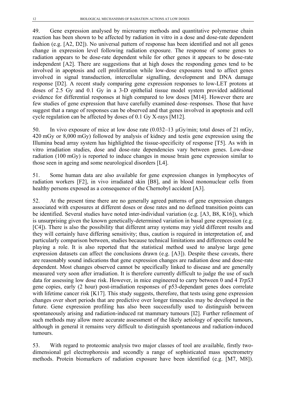49. Gene expression analysed by microarray methods and quantitative polymerase chain reaction has been shown to be affected by radiation in vitro in a dose and dose-rate dependent fashion (e.g. [A2, D2]). No universal pattern of response has been identified and not all genes change in expression level following radiation exposure. The response of some genes to radiation appears to be dose-rate dependent while for other genes it appears to be dose-rate independent [A2]. There are suggestions that at high doses the responding genes tend to be involved in apoptosis and cell proliferation while low-dose exposures tend to affect genes involved in signal transduction, intercellular signalling, development and DNA damage response [D2]. A recent study comparing gene expression responses to low-LET protons at doses of 2.5 Gy and 0.1 Gy in a 3-D epithelial tissue model system provided additional evidence for differential responses at high compared to low doses [M14]. However there are few studies of gene expression that have carefully examined dose–responses. Those that have suggest that a range of responses can be observed and that genes involved in apoptosis and cell cycle regulation can be affected by doses of 0.1 Gy X-rays [M12].

50. In vivo exposure of mice at low dose rate  $(0.032-13 \mu \text{Gy/min})$ ; total doses of 21 mGy, 420 mGy or 8,000 mGy) followed by analysis of kidney and testis gene expression using the Illumina bead array system has highlighted the tissue-specificity of response [T5]. As with in vitro irradiation studies, dose and dose-rate dependencies vary between genes. Low-dose radiation (100 mGy) is reported to induce changes in mouse brain gene expression similar to those seen in ageing and some neurological disorders [L4].

51. Some human data are also available for gene expression changes in lymphocytes of radiation workers [F2], in vivo irradiated skin [B8], and in blood mononuclear cells from healthy persons exposed as a consequence of the Chernobyl accident [A3].

<span id="page-17-0"></span>52. At the present time there are no generally agreed patterns of gene expression changes associated with exposures at different doses or dose rates and no defined transition points can be identified. Several studies have noted inter-individual variation (e.g. [A3, B8, K16]), which is unsurprising given the known genetically-determined variation in basal gene expression (e.g. [C4]). There is also the possibility that different array systems may yield different results and they will certainly have differing sensitivity; thus, caution is required in interpretation of, and particularly comparison between, studies because technical limitations and differences could be playing a role. It is also reported that the statistical method used to analyse large gene expression datasets can affect the conclusions drawn (e.g. [A3]). Despite these caveats, there are reasonably sound indications that gene expression changes are radiation dose and dose-rate dependent. Most changes observed cannot be specifically linked to disease and are generally measured very soon after irradiation. It is therefore currently difficult to judge the use of such data for assessing low dose risk. However, in mice engineered to carry between 0 and 4 *Trp53* gene copies, early (2 hour) post-irradiation responses of p53-dependant genes does correlate with lifetime cancer risk [K17]. This study suggests, therefore, that tests using gene expression changes over short periods that are predictive over longer timescales may be developed in the future. Gene expression profiling has also been successfully used to distinguish between spontaneously arising and radiation-induced rat mammary tumours [I2]. Further refinement of such methods may allow more accurate assessment of the likely aetiology of specific tumours, although in general it remains very difficult to distinguish spontaneous and radiation-induced tumours.

53. With regard to proteomic analysis two major classes of tool are available, firstly twodimensional gel electrophoresis and secondly a range of sophisticated mass spectrometry methods. Protein biomarkers of radiation exposure have been identified (e.g. [M7, M8]).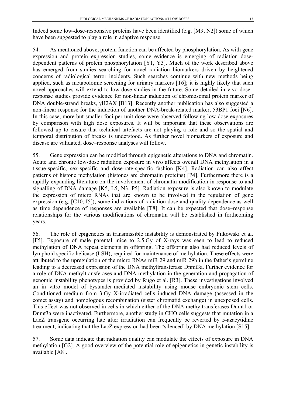Indeed some low-dose-responsive proteins have been identified (e.g. [M9, N2]) some of which have been suggested to play a role in adaptive response.

54. As mentioned above, protein function can be affected by phosphorylation. As with gene expression and protein expression studies, some evidence is emerging of radiation dosedependent patterns of protein phosphorylation [Y1, Y3]. Much of the work described above has emerged from studies searching for novel radiation biomarkers driven by heightened concerns of radiological terror incidents. Such searches continue with new methods being applied, such as metabolomic screening for urinary markers [T6]; it is highly likely that such novel approaches will extend to low-dose studies in the future. Some detailed in vivo dose– response studies provide evidence for non-linear induction of chromosomal protein marker of DNA double-strand breaks, γH2AX [B13]. Recently another publication has also suggested a non-linear response for the induction of another DNA-break-related marker, 53BP1 foci [N6]. In this case, more but smaller foci per unit dose were observed following low dose exposures by comparison with high dose exposures. It will be important that these observations are followed up to ensure that technical artefacts are not playing a role and so the spatial and temporal distribution of breaks is understood. As further novel biomarkers of exposure and disease are validated, dose–response analyses will follow.

<span id="page-18-0"></span>55. Gene expression can be modified through epigenetic alterations to DNA and chromatin. Acute and chronic low-dose radiation exposure in vivo affects overall DNA methylation in a tissue-specific, sex-specific and dose-rate-specific fashion [K4]. Radiation can also affect patterns of histone methylation (histones are chromatin proteins) [P4]. Furthermore there is a rapidly expanding literature on the involvement of chromatin modification in response to and signalling of DNA damage [K5, L5, N3, P5]. Radiation exposure is also known to modulate the expression of micro RNAs that are known to be involved in the regulation of gene expression (e.g. [C10, I5]); some indications of radiation dose and quality dependence as well as time dependence of responses are available [T8]. It can be expected that dose–response relationships for the various modifications of chromatin will be established in forthcoming years.

56. The role of epigenetics in transmissible instability is demonstrated by Filkowski et al. [F5]. Exposure of male parental mice to 2.5 Gy of X-rays was seen to lead to reduced methylation of DNA repeat elements in offspring. The offspring also had reduced levels of lymphoid specific helicase (LSH), required for maintenance of methylation. These effects were attributed to the upregulation of the micro RNAs miR 29 and miR 29b in the father's germline leading to a decreased expression of the DNA methyltransferase Dnmt3a. Further evidence for a role of DNA methyltransferases and DNA methylation in the generation and propagation of genomic instability phenotypes is provided by Rugo et al. [R3]. These investigations involved an in vitro model of bystander-mediated instability using mouse embryonic stem cells. Conditioned medium from 3 Gy X-irradiated cells induced DNA damage (assessed in the comet assay) and homologous recombination (sister chromatid exchange) in unexposed cells. This effect was not observed in cells in which either of the DNA methyltransferases Dnmt1 or Dnmt3a were inactivated. Furthermore, another study in CHO cells suggests that mutation in a LacZ transgene occurring late after irradiation can frequently be reverted by 5-azacytidine treatment, indicating that the LacZ expression had been 'silenced' by DNA methylation [S15].

57. Some data indicate that radiation quality can modulate the effects of exposure in DNA methylation [G2]. A good overview of the potential role of epigenetics in genetic instability is available [A8].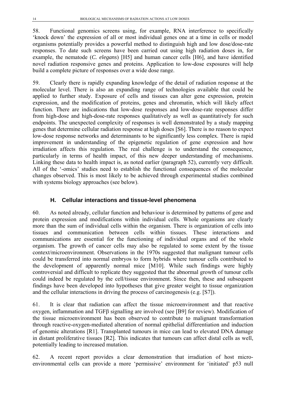<span id="page-19-1"></span><span id="page-19-0"></span>58. Functional genomics screens using, for example, RNA interference to specifically 'knock down' the expression of all or most individual genes one at a time in cells or model organisms potentially provides a powerful method to distinguish high and low dose/dose-rate responses. To date such screens have been carried out using high radiation doses in, for example, the nematode (*C. elegans*) [H5] and human cancer cells [H6], and have identified novel radiation responsive genes and proteins. Application to low-dose exposures will help build a complete picture of responses over a wide dose range.

59. Clearly there is rapidly expanding knowledge of the detail of radiation response at the molecular level. There is also an expanding range of technologies available that could be applied to further study. Exposure of cells and tissues can alter gene expression, protein expression, and the modification of proteins, genes and chromatin, which will likely affect function. There are indications that low-dose responses and low-dose-rate responses differ from high-dose and high-dose-rate responses qualitatively as well as quantitatively for such endpoints. The unexpected complexity of responses is well demonstrated by a study mapping genes that determine cellular radiation response at high doses [S6]. There is no reason to expect low-dose response networks and determinants to be significantly less complex. There is rapid improvement in understanding of the epigenetic regulation of gene expression and how irradiation affects this regulation. The real challenge is to understand the consequence, particularly in terms of health impact, of this new deeper understanding of mechanisms. Linking these data to health impact is, as noted earlier (paragraph [52](#page-17-0)), currently very difficult. All of the '-omics' studies need to establish the functional consequences of the molecular changes observed. This is most likely to be achieved through experimental studies combined with systems biology approaches (see below).

### **H. Cellular interactions and tissue-level phenomena**

60. As noted already, cellular function and behaviour is determined by patterns of gene and protein expression and modifications within individual cells. Whole organisms are clearly more than the sum of individual cells within the organism. There is organization of cells into tissues and communication between cells within tissues. These interactions and communications are essential for the functioning of individual organs and of the whole organism. The growth of cancer cells may also be regulated to some extent by the tissue context/microenvironment. Observations in the 1970s suggested that malignant tumour cells could be transferred into normal embryos to form hybrids where tumour cells contributed to the development of apparently normal mice [M10]. While such findings were highly controversial and difficult to replicate they suggested that the abnormal growth of tumour cells could indeed be regulated by the cell/tissue environment. Since then, these and subsequent findings have been developed into hypotheses that give greater weight to tissue organization and the cellular interactions in driving the process of carcinogenesis (e.g. [S7]).

61. It is clear that radiation can affect the tissue microenvironment and that reactive oxygen, inflammation and TGFβ signalling are involved (see [B9] for review). Modification of the tissue microenvironment has been observed to contribute to malignant transformation through reactive-oxygen-mediated alteration of normal epithelial differentiation and induction of genomic alterations [R1]. Transplanted tumours in mice can lead to elevated DNA damage in distant proliferative tissues [R2]. This indicates that tumours can affect distal cells as well, potentially leading to increased mutation.

62. A recent report provides a clear demonstration that irradiation of host microenvironmental cells can provide a more 'permissive' environment for 'initiated' p53 null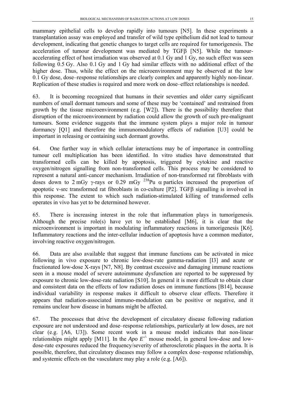mammary epithelial cells to develop rapidly into tumours [N5]. In these experiments a transplantation assay was employed and transfer of wild type epithelium did not lead to tumour development, indicating that genetic changes to target cells are required for tumorigenesis. The acceleration of tumour development was mediated by TGFβ [N5]. While the tumouraccelerating effect of host irradiation was observed at 0.1 Gy and 1 Gy, no such effect was seen following 0.5 Gy. Also 0.1 Gy and 1 Gy had similar effects with no additional effect of the higher dose. Thus, while the effect on the microenvironment may be observed at the low 0.1 Gy dose, dose–response relationships are clearly complex and apparently highly non-linear. Replication of these studies is required and more work on dose–effect relationships is needed.

63. It is becoming recognized that humans in their seventies and older carry significant numbers of small dormant tumours and some of these may be 'contained' and restrained from growth by the tissue microenvironment (e.g. [W2]). There is the possibility therefore that disruption of the microenvironment by radiation could allow the growth of such pre-malignant tumours. Some evidence suggests that the immune system plays a major role in tumour dormancy [Q1] and therefore the immunomodulatory effects of radiation [U3] could be important in releasing or containing such dormant growths.

64. One further way in which cellular interactions may be of importance in controlling tumour cell multiplication has been identified. In vitro studies have demonstrated that transformed cells can be killed by apoptosis, triggered by cytokine and reactive oxygen/nitrogen signalling from non-transformed cells. This process may be considered to represent a natural anti-cancer mechanism. Irradiation of non-transformed rat fibroblasts with doses down to 2 mGy γ-rays or 0.29 mGy  $^{238}$ Pu  $\alpha$  particles increased the proportion of apoptotic v-src transformed rat fibroblasts in co-culture [P2]. TGFβ signalling is involved in this response. The extent to which such radiation-stimulated killing of transformed cells operates in vivo has yet to be determined however.

65. There is increasing interest in the role that inflammation plays in tumorigenesis. Although the precise role(s) have yet to be established [M6], it is clear that the microenvironment is important in modulating inflammatory reactions in tumorigenesis [K6]. Inflammatory reactions and the inter-cellular induction of apoptosis have a common mediator, involving reactive oxygen/nitrogen.

66. Data are also available that suggest that immune functions can be activated in mice following in vivo exposure to chronic low-dose-rate gamma-radiation [I3] and acute or fractionated low-dose X-rays [N7, N8]. By contrast excessive and damaging immune reactions seen in a mouse model of severe autoimmune dysfunction are reported to be suppressed by exposure to chronic low-dose-rate radiation [S10]. In general it is more difficult to obtain clear and consistent data on the effects of low radiation doses on immune functions [B14], because individual variability in response makes it difficult to observe clear effects. Therefore it appears that radiation-associated immuno-modulation can be positive or negative, and it remains unclear how disease in humans might be affected.

67. The processes that drive the development of circulatory disease following radiation exposure are not understood and dose–response relationships, particularly at low doses, are not clear (e.g. [A6, U3]). Some recent work in a mouse model indicates that non-linear relationships might apply [M11]. In the *Apo*  $E^{\prime}$  mouse model, in general low-dose and lowdose-rate exposures reduced the frequency/severity of atherosclerotic plaques in the aorta. It is possible, therefore, that circulatory diseases may follow a complex dose–response relationship, and systemic effects on the vasculature may play a role (e.g. [A6]).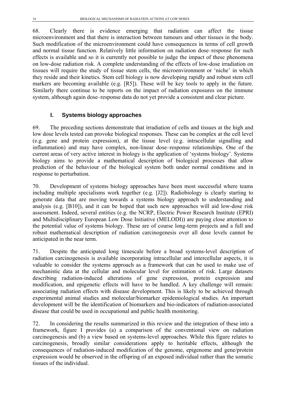<span id="page-21-0"></span>68. Clearly there is evidence emerging that radiation can affect the tissue microenvironment and that there is interaction between tumours and other tissues in the body. Such modification of the microenvironment could have consequences in terms of cell growth and normal tissue function. Relatively little information on radiation dose–response for such effects is available and so it is currently not possible to judge the impact of these phenomena on low-dose radiation risk. A complete understanding of the effects of low-dose irradiation on tissues will require the study of tissue stem cells, the microenvironment or 'niche' in which they reside and their kinetics. Stem cell biology is now developing rapidly and robust stem cell markers are becoming available (e.g. [R5]). These will be key tools to apply in the future. Similarly there continue to be reports on the impact of radiation exposures on the immune system, although again dose–response data do not yet provide a consistent and clear picture.

## **I. Systems biology approaches**

69. The preceding sections demonstrate that irradiation of cells and tissues at the high and low dose levels tested can provoke biological responses. These can be complex at the cell level (e.g. gene and protein expression), at the tissue level (e.g. intracellular signalling and inflammation) and may have complex, non-linear dose–response relationships. One of the current areas of very active interest in biology is the application of 'systems biology'. Systems biology aims to provide a mathematical description of biological processes that allow prediction of the behaviour of the biological system both under normal conditions and in response to perturbation.

70. Development of systems biology approaches have been most successful where teams including multiple specialisms work together (e.g. [J2]). Radiobiology is clearly starting to generate data that are moving towards a systems biology approach to understanding and analysis (e.g. [B10]), and it can be hoped that such new approaches will aid low-dose risk assessment. Indeed, several entities (e.g. the NCRP, Electric Power Research Institute (EPRI) and Multidisciplinary European Low Dose Initiative (MELODI)) are paying close attention to the potential value of systems biology. These are of course long-term projects and a full and robust mathematical description of radiation carcinogenesis over all dose levels cannot be anticipated in the near term.

71. Despite the anticipated long timescale before a broad systems-level description of radiation carcinogenesis is available incorporating intracellular and intercellular aspects, it is valuable to consider the systems approach as a framework that can be used to make use of mechanistic data at the cellular and molecular level for estimation of risk. Large datasets describing radiation-induced alterations of gene expression, protein expression and modification, and epigenetic effects will have to be handled. A key challenge will remain: associating radiation effects with disease development. This is likely to be achieved through experimental animal studies and molecular/biomarker epidemiological studies. An important development will be the identification of biomarkers and bio-indicators of radiation-associated disease that could be used in occupational and public health monitoring.

72. In considering the results summarized in this review and the integration of these into a framework, figure I provides (a) a comparison of the conventional view on radiation carcinogenesis and (b) a view based on systems-level approaches. While this figure relates to carcinogenesis, broadly similar considerations apply to heritable effects, although the consequences of radiation-induced modification of the genome, epigenome and gene/protein expression would be observed in the offspring of an exposed individual rather than the somatic tissues of the individual.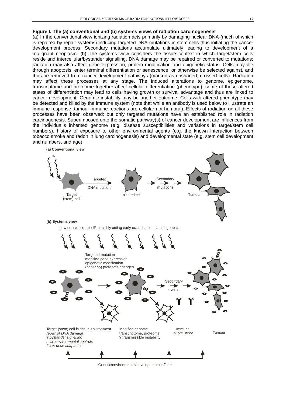#### **Figure I. The (a) conventional and (b) systems views of radiation carcinogenesis**

(a) In the conventional view ionizing radiation acts primarily by damaging nuclear DNA (much of which is repaired by repair systems) inducing targeted DNA mutations in stem cells thus initiating the cancer development process. Secondary mutations accumulate ultimately leading to development of a malignant neoplasm. (b) The systems view considers the tissue context in which target/stem cells reside and intercellular/bystander signalling. DNA damage may be repaired or converted to mutations; radiation may also affect gene expression, protein modification and epigenetic status. Cells may die through apoptosis, enter terminal differentiation or senescence, or otherwise be selected against, and thus be removed from cancer development pathways (marked as unshaded, crossed cells). Radiation may affect these processes at any stage. The induced alterations to genome, epigenome, transcriptome and proteome together affect cellular differentiation (phenotype); some of these altered states of differentiation may lead to cells having growth or survival advantage and thus are linked to cancer development. Genomic instability may be another outcome. Cells with altered phenotype may be detected and killed by the immune system (note that while an antibody is used below to illustrate an immune response, tumour immune reactions are cellular not humoral). Effects of radiation on all these processes have been observed; but only targeted mutations have an established role in radiation carcinogenesis. Superimposed onto the somatic pathway(s) of cancer development are influences from the individual's inherited genome (e.g. disease susceptibilities and variations in target/stem cell numbers), history of exposure to other environmental agents (e.g. the known interaction between tobacco smoke and radon in lung carcinogenesis) and developmental state (e.g. stem cell development and numbers, and age).



Genetic/environmental/developmental effects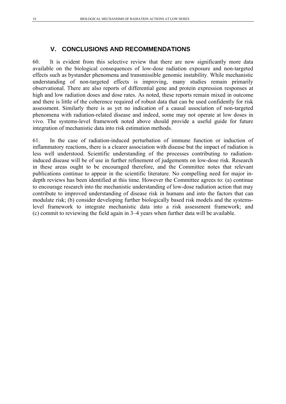# **V. CONCLUSIONS AND RECOMMENDATIONS**

<span id="page-23-1"></span><span id="page-23-0"></span>60. It is evident from this selective review that there are now significantly more data available on the biological consequences of low-dose radiation exposure and non-targeted effects such as bystander phenomena and transmissible genomic instability. While mechanistic understanding of non-targeted effects is improving, many studies remain primarily observational. There are also reports of differential gene and protein expression responses at high and low radiation doses and dose rates. As noted, these reports remain mixed in outcome and there is little of the coherence required of robust data that can be used confidently for risk assessment. Similarly there is as yet no indication of a causal association of non-targeted phenomena with radiation-related disease and indeed, some may not operate at low doses in vivo. The systems-level framework noted above should provide a useful guide for future integration of mechanistic data into risk estimation methods.

61. In the case of radiation-induced perturbation of immune function or induction of inflammatory reactions, there is a clearer association with disease but the impact of radiation is less well understood. Scientific understanding of the processes contributing to radiationinduced disease will be of use in further refinement of judgements on low-dose risk. Research in these areas ought to be encouraged therefore, and the Committee notes that relevant publications continue to appear in the scientific literature. No compelling need for major indepth reviews has been identified at this time. However the Committee agrees to: (a) continue to encourage research into the mechanistic understanding of low-dose radiation action that may contribute to improved understanding of disease risk in humans and into the factors that can modulate risk; (b) consider developing further biologically based risk models and the systemslevel framework to integrate mechanistic data into a risk assessment framework; and (c) commit to reviewing the field again in 3–4 years when further data will be available.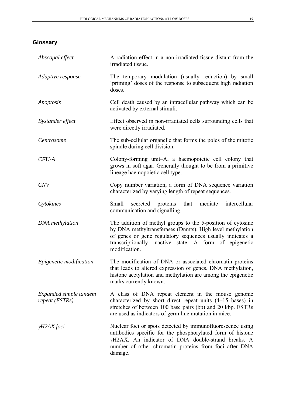# <span id="page-24-0"></span>**Glossary**

| Abscopal effect                          | A radiation effect in a non-irradiated tissue distant from the<br>irradiated tissue.                                                                                                                                                                             |
|------------------------------------------|------------------------------------------------------------------------------------------------------------------------------------------------------------------------------------------------------------------------------------------------------------------|
| Adaptive response                        | The temporary modulation (usually reduction) by small<br>'priming' doses of the response to subsequent high radiation<br>doses.                                                                                                                                  |
| Apoptosis                                | Cell death caused by an intracellular pathway which can be<br>activated by external stimuli.                                                                                                                                                                     |
| <b>Bystander</b> effect                  | Effect observed in non-irradiated cells surrounding cells that<br>were directly irradiated.                                                                                                                                                                      |
| Centrosome                               | The sub-cellular organelle that forms the poles of the mitotic<br>spindle during cell division.                                                                                                                                                                  |
| $CFU-A$                                  | Colony-forming unit-A, a haemopoietic cell colony that<br>grows in soft agar. Generally thought to be from a primitive<br>lineage haemopoietic cell type.                                                                                                        |
| <b>CNV</b>                               | Copy number variation, a form of DNA sequence variation<br>characterized by varying length of repeat sequences.                                                                                                                                                  |
| Cytokines                                | Small<br>secreted proteins that<br>mediate<br>intercellular<br>communication and signalling.                                                                                                                                                                     |
| <b>DNA</b> methylation                   | The addition of methyl groups to the 5-position of cytosine<br>by DNA methyltransferases (Dnmts). High level methylation<br>of genes or gene regulatory sequences usually indicates a<br>transcriptionally inactive state. A form of epigenetic<br>modification. |
| Epigenetic modification                  | The modification of DNA or associated chromatin proteins<br>that leads to altered expression of genes. DNA methylation,<br>histone acetylation and methylation are among the epigenetic<br>marks currently known.                                                |
| Expanded simple tandem<br>repeat (ESTRs) | A class of DNA repeat element in the mouse genome<br>characterized by short direct repeat units (4–15 bases) in<br>stretches of between 100 base pairs (bp) and 20 kbp. ESTRs<br>are used as indicators of germ line mutation in mice.                           |
| $yH2AX$ foci                             | Nuclear foci or spots detected by immunofluorescence using<br>antibodies specific for the phosphorylated form of histone<br>yH2AX. An indicator of DNA double-strand breaks. A<br>number of other chromatin proteins from foci after DNA<br>damage.              |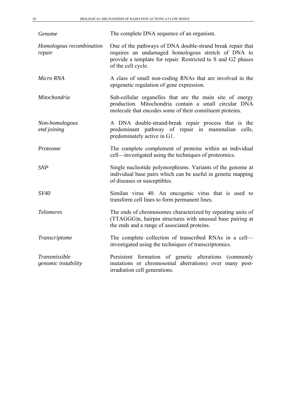| Genome                               | The complete DNA sequence of an organism.                                                                                                                                                              |
|--------------------------------------|--------------------------------------------------------------------------------------------------------------------------------------------------------------------------------------------------------|
| Homologous recombination<br>repair   | One of the pathways of DNA double-strand break repair that<br>requires an undamaged homologous stretch of DNA to<br>provide a template for repair. Restricted to S and G2 phases<br>of the cell cycle. |
| Micro RNA                            | A class of small non-coding RNAs that are involved in the<br>epigenetic regulation of gene expression.                                                                                                 |
| Mitochondria                         | Sub-cellular organelles that are the main site of energy<br>production. Mitochondria contain a small circular DNA<br>molecule that encodes some of their constituent proteins.                         |
| Non-homologous<br>end joining        | A DNA double-strand-break repair process that is the<br>predominant pathway of repair in mammalian cells,<br>predominately active in G1.                                                               |
| Proteome                             | The complete complement of proteins within an individual<br>cell—investigated using the techniques of proteomics.                                                                                      |
| <b>SNP</b>                           | Single nucleotide polymorphisms. Variants of the genome at<br>individual base pairs which can be useful in genetic mapping<br>of diseases or susceptibles.                                             |
| SV40                                 | Similan virus 40. An oncogenic virus that is used to<br>transform cell lines to form permanent lines.                                                                                                  |
| <b>Telomeres</b>                     | The ends of chromosomes characterized by repeating units of<br>(TTAGGG)n, hairpin structures with unusual base pairing at<br>the ends and a range of associated proteins.                              |
| Transcriptome                        | The complete collection of transcribed RNAs in a cell-<br>investigated using the techniques of transcriptomics.                                                                                        |
| Transmissible<br>genomic instability | Persistent formation of genetic alterations (commonly<br>mutations or chromosomal aberrations) over many post-<br>irradiation cell generations.                                                        |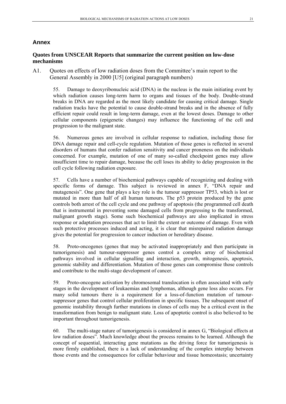#### <span id="page-26-0"></span>**Annex**

#### **Quotes from UNSCEAR Reports that summarize the current position on low-dose mechanisms**

A1. Quotes on effects of low radiation doses from the Committee's main report to the General Assembly in 2000 [U5] (original paragraph numbers)

55. Damage to deoxyribonucleic acid (DNA) in the nucleus is the main initiating event by which radiation causes long-term harm to organs and tissues of the body. Double-strand breaks in DNA are regarded as the most likely candidate for causing critical damage. Single radiation tracks have the potential to cause double-strand breaks and in the absence of fully efficient repair could result in long-term damage, even at the lowest doses. Damage to other cellular components (epigenetic changes) may influence the functioning of the cell and progression to the malignant state.

56. Numerous genes are involved in cellular response to radiation, including those for DNA damage repair and cell-cycle regulation. Mutation of those genes is reflected in several disorders of humans that confer radiation sensitivity and cancer proneness on the individuals concerned. For example, mutation of one of many so-called checkpoint genes may allow insufficient time to repair damage, because the cell loses its ability to delay progression in the cell cycle following radiation exposure.

57. Cells have a number of biochemical pathways capable of recognizing and dealing with specific forms of damage. This subject is reviewed in annex F, "DNA repair and mutagenesis". One gene that plays a key role is the tumour suppressor TP53, which is lost or mutated in more than half of all human tumours. The p53 protein produced by the gene controls both arrest of the cell cycle and one pathway of apoptosis (the programmed cell death that is instrumental in preventing some damaged cells from progressing to the transformed, malignant growth stage). Some such biochemical pathways are also implicated in stress response or adaptation processes that act to limit the extent or outcome of damage. Even with such protective processes induced and acting, it is clear that misrepaired radiation damage gives the potential for progression to cancer induction or hereditary disease.

58. Proto-oncogenes (genes that may be activated inappropriately and then participate in tumorigenesis) and tumour-suppressor genes control a complex array of biochemical pathways involved in cellular signalling and interaction, growth, mitogenesis, apoptosis, genomic stability and differentiation. Mutation of those genes can compromise those controls and contribute to the multi-stage development of cancer.

59. Proto-oncogene activation by chromosomal translocation is often associated with early stages in the development of leukaemias and lymphomas, although gene loss also occurs. For many solid tumours there is a requirement for a loss-of-function mutation of tumoursuppressor genes that control cellular proliferation in specific tissues. The subsequent onset of genomic instability through further mutations in clones of cells may be a critical event in the transformation from benign to malignant state. Loss of apoptotic control is also believed to be important throughout tumorigenesis.

60. The multi-stage nature of tumorigenesis is considered in annex G, "Biological effects at low radiation doses". Much knowledge about the process remains to be learned. Although the concept of sequential, interacting gene mutations as the driving force for tumorigenesis is more firmly established, there is a lack of understanding of the complex interplay between those events and the consequences for cellular behaviour and tissue homeostasis; uncertainty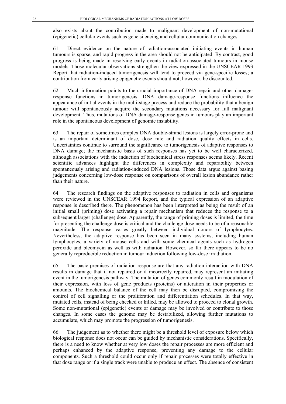also exists about the contribution made to malignant development of non-mutational (epigenetic) cellular events such as gene silencing and cellular communication changes.

61. Direct evidence on the nature of radiation-associated initiating events in human tumours is sparse, and rapid progress in the area should not be anticipated. By contrast, good progress is being made in resolving early events in radiation-associated tumours in mouse models. Those molecular observations strengthen the view expressed in the UNSCEAR 1993 Report that radiation-induced tumorigenesis will tend to proceed via gene-specific losses; a contribution from early arising epigenetic events should not, however, be discounted.

62. Much information points to the crucial importance of DNA repair and other damageresponse functions in tumorigenesis. DNA damage-response functions influence the appearance of initial events in the multi-stage process and reduce the probability that a benign tumour will spontaneously acquire the secondary mutations necessary for full malignant development. Thus, mutations of DNA damage-response genes in tumours play an important role in the spontaneous development of genomic instability.

63. The repair of sometimes complex DNA double-strand lesions is largely error-prone and is an important determinant of dose, dose rate and radiation quality effects in cells. Uncertainties continue to surround the significance to tumorigenesis of adaptive responses to DNA damage; the mechanistic basis of such responses has yet to be well characterized, although associations with the induction of biochemical stress responses seems likely. Recent scientific advances highlight the differences in complexity and reparability between spontaneously arising and radiation-induced DNA lesions. Those data argue against basing judgements concerning low-dose response on comparisons of overall lesion abundance rather than their nature.

64. The research findings on the adaptive responses to radiation in cells and organisms were reviewed in the UNSCEAR 1994 Report, and the typical expression of an adaptive response is described there. The phenomenon has been interpreted as being the result of an initial small (priming) dose activating a repair mechanism that reduces the response to a subsequent larger (challenge) dose. Apparently, the range of priming doses is limited, the time for presenting the challenge dose is critical and the challenge dose needs to be of a reasonable magnitude. The response varies greatly between individual donors of lymphocytes. Nevertheless, the adaptive response has been seen in many systems, including human lymphocytes, a variety of mouse cells and with some chemical agents such as hydrogen peroxide and bleomycin as well as with radiation. However, so far there appears to be no generally reproducible reduction in tumour induction following low-dose irradiation.

65. The basic premises of radiation response are that any radiation interaction with DNA results in damage that if not repaired or if incorrectly repaired, may represent an initiating event in the tumorigenesis pathway. The mutation of genes commonly result in modulation of their expression, with loss of gene products (proteins) or alteration in their properties or amounts. The biochemical balance of the cell may then be disrupted, compromising the control of cell signalling or the proliferation and differentiation schedules. In that way, mutated cells, instead of being checked or killed, may be allowed to proceed to clonal growth. Some non-mutational (epigenetic) events or damage may be involved or contribute to those changes. In some cases the genome may be destabilized, allowing further mutations to accumulate, which may promote the progression of tumorigenesis.

66. The judgement as to whether there might be a threshold level of exposure below which biological response does not occur can be guided by mechanistic considerations. Specifically, there is a need to know whether at very low doses the repair processes are more efficient and perhaps enhanced by the adaptive response, preventing any damage to the cellular components. Such a threshold could occur only if repair processes were totally effective in that dose range or if a single track were unable to produce an effect. The absence of consistent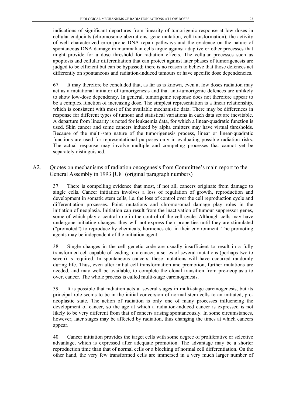indications of significant departures from linearity of tumorigenic response at low doses in cellular endpoints (chromosome aberrations, gene mutation, cell transformation), the activity of well characterized error-prone DNA repair pathways and the evidence on the nature of spontaneous DNA damage in mammalian cells argue against adaptive or other processes that might provide for a dose threshold for radiation effects. The cellular processes such as apoptosis and cellular differentiation that can protect against later phases of tumorigenesis are judged to be efficient but can be bypassed; there is no reason to believe that those defences act differently on spontaneous and radiation-induced tumours or have specific dose dependencies.

67. It may therefore be concluded that, as far as is known, even at low doses radiation may act as a mutational initiator of tumorigenesis and that anti-tumorigenic defences are unlikely to show low-dose dependency. In general, tumorigenic response does not therefore appear to be a complex function of increasing dose. The simplest representation is a linear relationship, which is consistent with most of the available mechanistic data. There may be differences in response for different types of tumour and statistical variations in each data set are inevitable. A departure from linearity is noted for leukaemia data, for which a linear-quadratic function is used. Skin cancer and some cancers induced by alpha emitters may have virtual thresholds. Because of the multi-step nature of the tumorigenesis process, linear or linear-quadratic functions are used for representational purposes only in evaluating possible radiation risks. The actual response may involve multiple and competing processes that cannot yet be separately distinguished.

A2. Quotes on mechanisms of radiation oncogenesis from Committee's main report to the General Assembly in 1993 [U8] (original paragraph numbers)

37. There is compelling evidence that most, if not all, cancers originate from damage to single cells. Cancer initiation involves a loss of regulation of growth, reproduction and development in somatic stem cells, i.e. the loss of control over the cell reproduction cycle and differentiation processes. Point mutations and chromosomal damage play roles in the initiation of neoplasia. Initiation can result from the inactivation of tumour suppressor genes, some of which play a central role in the control of the cell cycle. Although cells may have undergone initiating changes, they will not express their properties until they are stimulated ("promoted") to reproduce by chemicals, hormones etc. in their environment. The promoting agents may be independent of the initiation agent.

38. Single changes in the cell genetic code are usually insufficient to result in a fully transformed cell capable of leading to a cancer; a series of several mutations (perhaps two to seven) is required. In spontaneous cancers, these mutations will have occurred randomly during life. Thus, even after initial cell transformation and promotion, further mutations are needed, and may well be available, to complete the clonal transition from pre-neoplasia to overt cancer. The whole process is called multi-stage carcinogenesis.

39. It is possible that radiation acts at several stages in multi-stage carcinogenesis, but its principal role seems to be in the initial conversion of normal stem cells to an initiated, preneoplastic state. The action of radiation is only one of many processes influencing the development of cancer, so the age at which a radiation-induced cancer is expressed is not likely to be very different from that of cancers arising spontaneously. In some circumstances, however, later stages may be affected by radiation, thus changing the times at which cancers appear.

40. Cancer initiation provides the target cells with some degree of proliferative or selective advantage, which is expressed after adequate promotion. The advantage may be a shorter reproduction time than that of normal cells or a blocking of normal cell differentiation. On the other hand, the very few transformed cells are immersed in a very much larger number of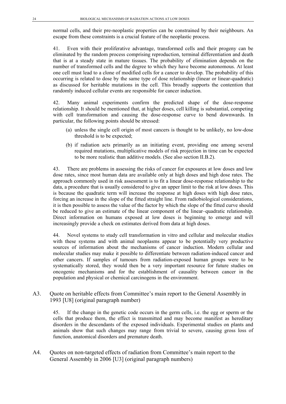normal cells, and their pre-neoplastic properties can be constrained by their neighbours. An escape from these constraints is a crucial feature of the neoplastic process.

41. Even with their proliferative advantage, transformed cells and their progeny can be eliminated by the random process comprising reproduction, terminal differentiation and death that is at a steady state in mature tissues. The probability of elimination depends on the number of transformed cells and the degree to which they have become autonomous. At least one cell must lead to a clone of modified cells for a cancer to develop. The probability of this occurring is related to dose by the same type of dose relationship (linear or linear-quadratic) as discussed for heritable mutations in the cell. This broadly supports the contention that randomly induced cellular events are responsible for cancer induction.

42. Many animal experiments confirm the predicted shape of the dose-response relationship. It should be mentioned that, at higher doses, cell killing is substantial, competing with cell transformation and causing the dose-response curve to bend downwards. In particular, the following points should be stressed:

- (a) unless the single cell origin of most cancers is thought to be unlikely, no low-dose threshold is to be expected;
- (b) if radiation acts primarily as an initiating event, providing one among several required mutations, multiplicative models of risk projection in time can be expected to be more realistic than additive models. (See also section II.B.2).

43. There are problems in assessing the risks of cancer for exposures at low doses and low dose rates, since most human data are available only at high doses and high dose rates. The approach commonly used in risk assessment is to fit a linear dose-response relationship to the data, a procedure that is usually considered to give an upper limit to the risk at low doses. This is because the quadratic term will increase the response at high doses with high dose rates, forcing an increase in the slope of the fitted straight line. From radiobiological considerations, it is then possible to assess the value of the factor by which the slope of the fitted curve should be reduced to give an estimate of the linear component of the linear–quadratic relationship. Direct information on humans exposed at low doses is beginning to emerge and will increasingly provide a check on estimates derived from data at high doses.

44. Novel systems to study cell transformation in vitro and cellular and molecular studies with these systems and with animal neoplasms appear to be potentially very productive sources of information about the mechanisms of cancer induction. Modern cellular and molecular studies may make it possible to differentiate between radiation-induced cancer and other cancers. If samples of tumours from radiation-exposed human groups were to be systematically stored, they would then be a very important resource for future studies on oncogenic mechanisms and for the establishment of causality between cancer in the population and physical or chemical carcinogens in the environment.

A3. Quote on heritable effects from Committee's main report to the General Assembly in 1993 [U8] (original paragraph number)

45. If the change in the genetic code occurs in the germ cells, i.e. the egg or sperm or the cells that produce them, the effect is transmitted and may become manifest as hereditary disorders in the descendants of the exposed individuals. Experimental studies on plants and animals show that such changes may range from trivial to severe, causing gross loss of function, anatomical disorders and premature death.

A4. Quotes on non-targeted effects of radiation from Committee's main report to the General Assembly in 2006 [U3] (original paragraph numbers)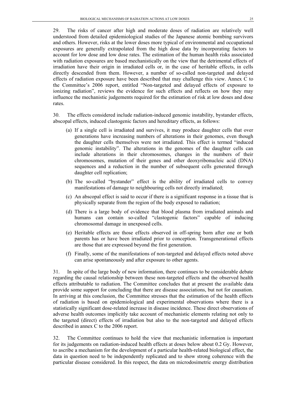29. The risks of cancer after high and moderate doses of radiation are relatively well understood from detailed epidemiological studies of the Japanese atomic bombing survivors and others. However, risks at the lower doses more typical of environmental and occupational exposures are generally extrapolated from the high dose data by incorporating factors to account for low dose and low dose rates. The estimation of the human health risks associated with radiation exposures are based mechanistically on the view that the detrimental effects of irradiation have their origin in irradiated cells or, in the case of heritable effects, in cells directly descended from them. However, a number of so-called non-targeted and delayed effects of radiation exposure have been described that may challenge this view. Annex C to the Committee's 2006 report, entitled "Non-targeted and delayed effects of exposure to ionizing radiation", reviews the evidence for such effects and reflects on how they may influence the mechanistic judgements required for the estimation of risk at low doses and dose rates.

30. The effects considered include radiation-induced genomic instability, bystander effects, abscopal effects, induced clastogenic factors and hereditary effects, as follows:

- (a) If a single cell is irradiated and survives, it may produce daughter cells that over generations have increasing numbers of alterations in their genomes, even though the daughter cells themselves were not irradiated. This effect is termed "induced genomic instability". The alterations in the genomes of the daughter cells can include alterations in their chromosomes, changes in the numbers of their chromosomes, mutation of their genes and other deoxyribonucleic acid (DNA) sequences and a reduction in the number of subsequent cells generated through daughter cell replication;
- (b) The so-called "bystander" effect is the ability of irradiated cells to convey manifestations of damage to neighbouring cells not directly irradiated;
- (c) An abscopal effect is said to occur if there is a significant response in a tissue that is physically separate from the region of the body exposed to radiation;
- (d) There is a large body of evidence that blood plasma from irradiated animals and humans can contain so-called "clastogenic factors" capable of inducing chromosomal damage in unexposed cells.
- (e) Heritable effects are those effects observed in off-spring born after one or both parents has or have been irradiated prior to conception. Transgenerational effects are those that are expressed beyond the first generation.
- (f) Finally, some of the manifestations of non-targeted and delayed effects noted above can arise spontaneously and after exposure to other agents.

31. In spite of the large body of new information, there continues to be considerable debate regarding the causal relationship between these non-targeted effects and the observed health effects attributable to radiation. The Committee concludes that at present the available data provide some support for concluding that there are disease associations, but not for causation. In arriving at this conclusion, the Committee stresses that the estimation of the health effects of radiation is based on epidemiological and experimental observations where there is a statistically significant dose-related increase in disease incidence. These direct observations of adverse health outcomes implicitly take account of mechanistic elements relating not only to the targeted (direct) effects of irradiation but also to the non-targeted and delayed effects described in annex C to the 2006 report.

32. The Committee continues to hold the view that mechanistic information is important for its judgements on radiation-induced health effects at doses below about 0.2 Gy. However, to ascribe a mechanism for the development of a particular health-related biological effect, the data in question need to be independently replicated and to show strong coherence with the particular disease considered. In this respect, the data on microdosimetric energy distribution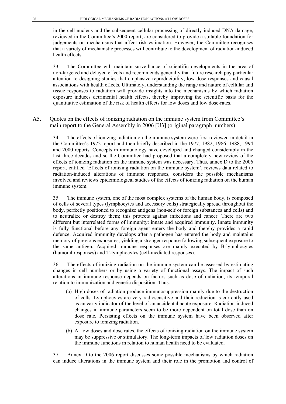in the cell nucleus and the subsequent cellular processing of directly induced DNA damage, reviewed in the Committee's 2000 report, are considered to provide a suitable foundation for judgements on mechanisms that affect risk estimation. However, the Committee recognises that a variety of mechanistic processes will contribute to the development of radiation-induced health effects.

33. The Committee will maintain surveillance of scientific developments in the area of non-targeted and delayed effects and recommends generally that future research pay particular attention to designing studies that emphasize reproducibility, low dose responses and causal associations with health effects. Ultimately, understanding the range and nature of cellular and tissue responses to radiation will provide insights into the mechanisms by which radiation exposure induces detrimental health effects, thereby improving the scientific basis for the quantitative estimation of the risk of health effects for low doses and low dose-rates.

A5. Quotes on the effects of ionizing radiation on the immune system from Committee's main report to the General Assembly in 2006 [U3] (original paragraph numbers)

34. The effects of ionizing radiation on the immune system were first reviewed in detail in the Committee's 1972 report and then briefly described in the 1977, 1982, 1986, 1988, 1994 and 2000 reports. Concepts in immunology have developed and changed considerably in the last three decades and so the Committee had proposed that a completely new review of the effects of ionizing radiation on the immune system was necessary. Thus, annex D to the 2006 report, entitled 'Effects of ionizing radiation on the immune system', reviews data related to radiation-induced alterations of immune responses, considers the possible mechanisms involved and reviews epidemiological studies of the effects of ionizing radiation on the human immune system.

35. The immune system, one of the most complex systems of the human body, is composed of cells of several types (lymphocytes and accessory cells) strategically spread throughout the body, perfectly positioned to recognize antigens (non-self or foreign substances and cells) and to neutralize or destroy them; this protects against infections and cancer. There are two different but interrelated forms of immunity: innate and acquired immunity. Innate immunity is fully functional before any foreign agent enters the body and thereby provides a rapid defence. Acquired immunity develops after a pathogen has entered the body and maintains memory of previous exposures, yielding a stronger response following subsequent exposure to the same antigen. Acquired immune responses are mainly executed by B-lymphocytes (humoral responses) and T-lymphocytes (cell-mediated responses).

36. The effects of ionizing radiation on the immune system can be assessed by estimating changes in cell numbers or by using a variety of functional assays. The impact of such alterations in immune response depends on factors such as dose of radiation, its temporal relation to immunization and genetic disposition. Thus:

- (a) High doses of radiation produce immunosuppression mainly due to the destruction of cells. Lymphocytes are very radiosensitive and their reduction is currently used as an early indicator of the level of an accidental acute exposure. Radiation-induced changes in immune parameters seem to be more dependent on total dose than on dose rate. Persisting effects on the immune system have been observed after exposure to ionizing radiation.
- (b) At low doses and dose rates, the effects of ionizing radiation on the immune system may be suppressive or stimulatory. The long-term impacts of low radiation doses on the immune functions in relation to human health need to be evaluated.

37. Annex D to the 2006 report discusses some possible mechanisms by which radiation can induce alterations in the immune system and their role in the promotion and control of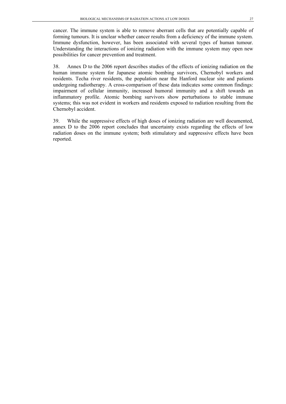cancer. The immune system is able to remove aberrant cells that are potentially capable of forming tumours. It is unclear whether cancer results from a deficiency of the immune system. Immune dysfunction, however, has been associated with several types of human tumour. Understanding the interactions of ionizing radiation with the immune system may open new possibilities for cancer prevention and treatment.

38. Annex D to the 2006 report describes studies of the effects of ionizing radiation on the human immune system for Japanese atomic bombing survivors, Chernobyl workers and residents. Techa river residents, the population near the Hanford nuclear site and patients undergoing radiotherapy. A cross-comparison of these data indicates some common findings: impairment of cellular immunity, increased humoral immunity and a shift towards an inflammatory profile. Atomic bombing survivors show perturbations to stable immune systems; this was not evident in workers and residents exposed to radiation resulting from the Chernobyl accident.

39. While the suppressive effects of high doses of ionizing radiation are well documented, annex D to the 2006 report concludes that uncertainty exists regarding the effects of low radiation doses on the immune system; both stimulatory and suppressive effects have been reported.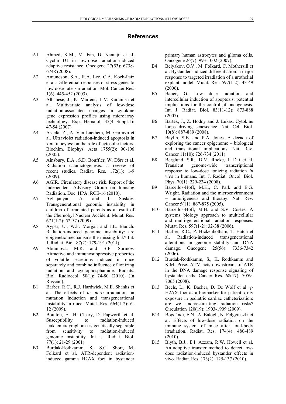#### **References**

- <span id="page-34-0"></span>A1 Ahmed, K.M., M. Fan, D. Nantajit et al. Cyclin D1 in low-dose radiation-induced adaptive resistance. Oncogene 27(53): 6738- 6748 (2008).
- A2 Amundson, S.A., R.A. Lee, C.A. Koch-Paiz et al. Differential responses of stress genes to low dose-rate γ irradiation. Mol. Cancer Res. 1(6): 445-452 (2003).
- A3 Albanese, J., K. Martens, L.V. Karanitsa et al. Multivariate analysis of low-dose radiation-associated changes in cytokine gene expression profiles using microarray technology. Exp. Hematol. 35(4 Suppl.1): 47-54 (2007).
- A4 Assefa, Z., A. Van Laethem, M. Garmyn et al. Ultraviolet radiation-induced apoptosis in keratinocytes: on the role of cytosolic factors. Biochim. Biophys. Acta 1755(2): 90-106 (2005).
- A5 Ainsbury, E.A., S.D. Bouffler, W. Dörr et al. Radiation cataractogenesis: a review of recent studies. Radiat. Res. 172(1): 1-9 (2009).
- A6 AGIR. Circulatory disease risk. Report of the independent Advisory Group on Ionising Radiation. Doc. HPA: RCE-16 (2010).
- A7 Aghajanyan, A. and I. Suskov. Transgenerational genomic instability in children of irradiated parents as a result of the Chernobyl Nuclear Accident. Mutat. Res. 671(1-2): 52-57 (2009).
- A8 Aypar, U., W.F. Morgan and J.E. Baulch. Radiation-induced genomic instability: are epigenetic mechanisms the missing link? Int. J. Radiat. Biol. 87(2): 179-191 (2011).
- A9 Abramova, M.R. and B.P. Surinov. Attractive and immunosuppressive properties of volatile secretions induced in mice separately and combine influence of ionizing radiation and cyclophosphamide. Radiats. Biol. Radioecol. 50(1): 74-80 (2010). (In Russian).
- B1 Barber, R.C., R.J. Hardwick, M.E. Shanks et al. The effects of *in utero* irradiation on mutation induction and transgenerational instability in mice. Mutat. Res. 664(1-2): 6- 12 (2009).
- B2 Boulton, E., H. Cleary, D. Papworth et al. Susceptibility to radiation-induced leukaemia/lymphoma is genetically separable from sensitivity to radiation-induced genomic instability. Int. J. Radiat. Biol. 77(1): 21-29 (2001).
- B3 Burdak-Rothkamm, S., S.C. Short, M. Folkard et al. ATR-dependent radiationinduced gamma H2AX foci in bystander

primary human astrocytes and glioma cells. Oncogene 26(7): 993-1002 (2007).

- B4 Belyakov, O.V., M. Folkard, C. Mothersill et al. Bystander-induced differentiation: a major response to targeted irradiation of a urothelial explant model. Mutat. Res. 597(1-2): 43-49 (2006).
- B5 Bauer, G. Low dose radiation and intercellular induction of apoptosis: potential implications for the control of oncogenesis. Int. J. Radiat. Biol. 83(11-12): 873-888 (2007).
- B6 Bartek, J., Z. Hodny and J. Lukas. Cytokine loops driving senescence. Nat. Cell Biol. 10(8): 887-889 (2008).
- B7 Baylin, S.B. and P.A. Jones. A decade of exploring the cancer epigenome – biological and translational implications. Nat. Rev. Cancer 11(10): 726-734 (2011).
- B8 Berglund, S.R., D.M. Rocke, J. Dai et al. Transient genome-wide transcriptional response to low-dose ionizing radiation *in vivo* in humans. Int. J. Radiat. Oncol. Biol. Phys. 70(1): 229-234 (2008).
- B9 Barcellos-Hoff, M.H., C. Park and E.G. Wright. Radiation and the microenvironment – tumorigenesis and therapy. Nat. Rev. Cancer 5(11): 867-875 (2005).
- B10 Barcellos-Hoff, M.H. and S.V. Costes. A systems biology approach to multicellular and multi-generational radiation responses. Mutat. Res. 597(1-2): 32-38 (2006).
- B11 Barber, R.C., P. Hickenbotham, T. Hatch et al. Radiation-induced transgenerational alterations in genome stability and DNA damage. Oncogene 25(56): 7336-7342 (2006).
- B12 Burdak-Rothkamm, S., K. Rothkamm and K.M. Prise. ATM acts downstream of ATR in the DNA damage response signaling of bystander cells. Cancer Res. 68(17): 7059- 7065 (2008).
- B13 Beels, L., K. Bacher, D. De Wolf et al. γ-H2AX foci as a biomarker for patient x-ray exposure in pediatric cardiac catheterization: are we underestimating radiation risks? Circulation 120(19): 1903-1909 (2009).
- B14 Bogdándi, E.N., A. Balogh, N. Felgyinszki et al. Effects of low-dose radiation on the immune system of mice after total-body irradiation. Radiat. Res. 174(4): 480-489 (2010).
- B15 Blyth, B.J., E.I. Azzam, R.W. Howell et al. An adoptive transfer method to detect lowdose radiation-induced bystander effects in vivo. Radiat. Res. 173(2): 125-137 (2010).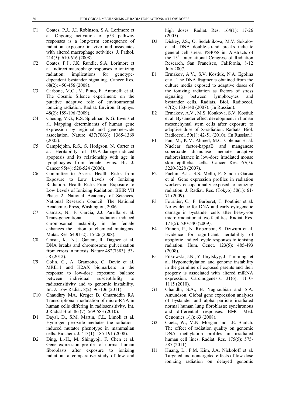- C1 Coates, P.J., J.I. Robinson, S.A. Lorimore et al. Ongoing activation of p53 pathway responses is a long-term consequence of radiation exposure in vivo and associates with altered macrophage activities. J. Pathol. 214(5): 610-616 (2008).
- C2 Coates, P.J., J.K. Rundle, S.A. Lorimore et al. Indirect macrophage responses to ionizing radiation: implications for genotypedependent bystander signaling. Cancer Res. 68(2): 450-456 (2008).
- C3 Carbone, M.C., M. Pinto, F. Antonelli et al. The Cosmic Silence experiment: on the putative adaptive role of environmental ionizing radiation. Radiat. Environ. Biophys. 48(2): 189-196 (2009).
- C4 Cheung, V.G., R.S. Spielman, K.G. Ewens et al. Mapping determinants of human gene expression by regional and genome-wide association. Nature 437(7063): 1365-1369 (2005).
- C5 Camplejohn, R.S., S. Hodgson, N. Carter et al. Heritability of DNA-damage-induced apoptosis and its relationship with age in lymphocytes from female twins. Br. J. Cancer 95(4): 520-524 (2006).
- C6 Committee to Assess Health Risks from Exposure to Low Levels of Ionizing Radiation. Health Risks From Exposure to Low Levels of Ionizing Radiation: BEIR VII Phase 2. National Academy of Sciences, National Research Council. The National Academies Press, Washington, 2006.
- C7 Camats, N., F. García, J.J. Parrilla et al. Trans-generational radiation–induced chromosomal instability in the female enhances the action of chemical mutagens. Mutat. Res. 640(1-2): 16-26 (2008).
- C8 Crasta, K., N.J. Ganem, R. Dagher et al. DNA breaks and chromosome pulverization from errors in mitosis. Nature 482(7383): 53- 58 (2012).
- C9 Colin, C., A. Granzotto, C. Devic et al. MRE11 and H2AX biomarkers in the response to low-dose exposure: balance between individual susceptibility to radiosensitivity and to genomic instability. Int. J. Low Radiat. 8(2): 96-106 (2011).
- C10 Chaudhry MA, Kreger B, Omaruddin RA Transcriptional modulation of micro-RNA in human cells differing in radiosensitivity. Int. J Radiat Biol. 86 (7): 569-583 (2010).
- D1 Dayal, D., S.M. Martin, C.L. Limoli et al. Hydrogen peroxide mediates the radiationinduced mutator phenotype in mammalian cells. Biochem. J. 413(1): 185-191 (2008).
- D2 Ding, L.-H., M. Shingyoji, F. Chen et al. Gene expression profiles of normal human fibroblasts after exposure to ionizing radiation: a comparative study of low and

high doses. Radiat. Res. 164(1): 17-26 (2005).

- D3 Dickey, J.S., O. Sedelnikova, M.V. Sokolov et al. DNA double-strand breaks indicate general cell stress. PS4058 in: Abstracts of the 13th International Congress of Radiation Research, San Francisco, California, 8-12 July 2007.
- E1 Ermakov, A.V., S.V. Kostiuk, N.A. Egolina et al. The DNA fragments obtained from the culture media exposed to adaptive doses of the ionizing radiation as factors of stress signaling between lymphocytes and bystander cells. Radiats. Biol. Radioecol. 47(2): 133-140 (2007). (In Russian).
- E2 Ermakov, A.V., M.S. Konkova, S.V. Kostiuk et al. Bystander effect development in human mesenchymal stem cells after exposure to adaptive dose of X-radiation. Radiats. Biol. Radioecol. 50(1): 42-51 (2010). (In Russian.)
- F1 Fan, M., K.M. Ahmed, M.C. Coleman et al. Nuclear factor-kappaB and manganese superoxide dismutase mediate adaptive radioresistance in low-dose irradiated mouse skin epithelial cells. Cancer Res. 67(7): 3220-3228 (2007).
- F2 Fachin, A.L., S.S. Mello, P. Sandrin-Garcia et al. Gene expression profiles in radiation workers occupationally exposed to ionizing radiation. J. Radiat. Res. (Tokyo) 50(1): 61- 71 (2009).
- F3 Fournier, C., P. Barberet, T. Pouthier et al. No evidence for DNA and early cytogenetic damage in bystander cells after heavy-ion microirradiation at two facilities. Radiat. Res. 171(5): 530-540 (2009).
- F4 Finnon, P., N. Robertson, S. Dziwura et al. Evidence for significant heritability of apoptotic and cell cycle responses to ionising radiation. Hum. Genet. 123(5): 485-493 (2008).
- F5 Filkowski, J.N., Y. Ilnytskyy, J. Tamminga et al. Hypomethylation and genome instability in the germline of exposed parents and their progeny is associated with altered miRNA expression. Carcinogenesis. 31(6): 1110- 1115 (2010).
- G1 Ghandhi, S.A., B. Yaghoubian and S.A. Amundson. Global gene expression analyses of bystander and alpha particle irradiated normal human lung fibroblasts: synchronous and differential responses. BMC Med. Genomics 1(1): 63 (2008).
- G2 Goetz, W., M.N. Morgan and J.E. Baulch. The effect of radiation quality on genomic DNA methylation profiles in irradiated human cell lines. Radiat. Res. 175(5): 575- 587 (2011).
- H1 Huang, L., P.M. Kim, J.A. Nickoloff et al. Targeted and nontargeted effects of low-dose ionizing radiation on delayed genomic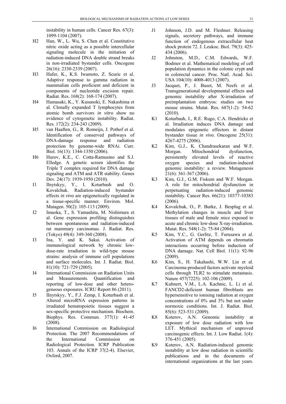instability in human cells. Cancer Res. 67(3): 1099-1104 (2007).

- H2 Han, W., L. Wu, S. Chen et al. Constitutive nitric oxide acting as a possible intercellular signaling molecule in the initiation of radiation-induced DNA double strand breaks in non-irradiated bystander cells. Oncogene 26(16): 2330-2339 (2007).
- H3 Hafer, K., K.S. Iwamoto, Z. Scuric et al. Adaptive response to gamma radiation in mammalian cells proficient and deficient in components of nucleotide excision repair. Radiat. Res. 168(2): 168-174 (2007).
- H4 Hamasaki, K., Y. Kusunoki, E. Nakashima et al. Clonally expanded T lymphocytes from atomic bomb survivors *in vitro* show no evidence of cytogenetic instability. Radiat. Res. 172(2): 234-243 (2009).
- H5 van Haaften, G., R. Romeijn, J. Pothof et al. Identification of conserved pathways of DNA-damage response and radiation protection by genome-wide RNAi. Curr. Biol. 16(13): 1344-1350 (2006).
- H6 Hurov, K.E., C. Cotta-Ramusino and S.J. Elledge. A genetic screen identifies the Triple T complex required for DNA damage signaling and ATM and ATR stability. Genes Dev. 24(17): 1939-1950 (2010).
- I1 Ilnytskyy, Y., I. Koturbash and O. Kovalchuk. Radiation-induced bystander effects *in vivo* are epigenetically regulated in a tissue-specific manner. Environ. Mol. Mutagen. 50(2): 105-113 (2009).
- I2 Imaoka, T., S. Yamashita, M. Nishimura et al. Gene expression profiling distinguishes between spontaneous and radiation-induced rat mammary carcinomas. J. Radiat. Res. (Tokyo) 49(4): 349-360 (2008).
- I3 Ina, Y. and K. Sakai. Activation of immunological network by chronic lowdose-rate irradiation in wild-type mouse strains: analysis of immune cell populations and surface molecules. Int. J. Radiat. Biol. 81(10): 721-729 (2005).
- I4 International Commission on Radiation Units and Measurements. Quantification and reporting of low-dose and other heterogeneous exposures. ICRU Report 86 (2011).
- I5 IInytskyy, Y., F.J. Zemp, I. Koturbash et al. Altered microRNA expression patterns in irradiated hematopoietic tissues suggest a sex-specific protective mechanism. Biochem. Biophys. Res. Commun. 377(1): 41-45 (2008).
- I6 International Commission on Radiological Protection. The 2007 Recommendations of the International Commission on Radiological Protection. ICRP Publication 103. Annals of the ICRP 37(2-4). Elsevier, Oxford, 2007.
- J1 Johnson, J.D. and M. Fleshner. Releasing signals, secretory pathways, and immune function of endogenous extracellular heat shock protein 72. J. Leukoc. Biol. 79(3): 425- 434 (2006).
- J2 Johnston, M.D., C.M. Edwards, W.F. Bodmer et al. Mathematical modeling of cell population dynamics in the colonic crypt and in colorectal cancer. Proc. Natl. Acad. Sci. USA 104(10): 4008-4013 (2007).
- J3 Jacquet, P., J. Buset, M. Neefs et al. Transgenerational developmental effects and genomic instability after X-irradiation of preimplantation embryos: studies on two mouse strains. Mutat. Res. 687(1-2): 54-62 (2010).
- K1 Koturbash, I., R.E. Rugo, C.A. Hendricks et al. Irradiation induces DNA damage and modulates epigenetic effectors in distant bystander tissue *in vivo*. Oncogene 25(31): 4267-4275 (2006).
- K2 Kim, G.J., K. Chandrasekaran and W.F. Morgan. Mitochondrial dysfunction, persistently elevated levels of reactive oxygen species and radiation-induced genomic instability: a review. Mutagenesis 21(6): 361-367 (2006).
- K3 Kim, G.J., G.M. Fiskum and W.F. Morgan. A role for mitochondrial dysfunction in perpetuating radiation-induced genomic instability. Cancer Res. 66(21): 10377-10383 (2006).
- K4 Kovalchuk, O., P. Burke, J. Besplug et al. Methylation changes in muscle and liver tissues of male and female mice exposed to acute and chronic low-dose X-ray-irradiation. Mutat. Res. 548(1-2): 75-84 (2004).
- K5 Kim, Y.C., G. Gerlitz, T. Furusawa et al. Activation of ATM depends on chromatin interactions occurring before induction of DNA damage. Nat. Cell Biol. 11(1): 92-96 (2009).
- K6 Kim, S., H. Takahashi, W.W. Lin et al. Carcinoma-produced factors activate myeloid cells through TLR2 to stimulate metastasis. Nature 457(7225): 102-106 (2009).
- K7 Kuhnert, V.M., L.A. Kachnic, L. Li et al. FANCD2-deficient human fibroblasts are hypersensitive to ionising radiation at oxygen concentrations of 0% and 3% but not under normoxic conditions. Int. J. Radiat. Biol. 85(6): 523-531 (2009).
- K8 Koterov, A.N. Genomic instability at exposure of low dose radiation with low LET. Mythical mechanism of unproved carcinogenic effects. Int. J. Low Radiat. 1(4): 376-451 (2005).
- K9 Koterov, A.N. Radiation-induced genomic instability at low dose radiation in scientific publications and in the documents of international organizations at the last years.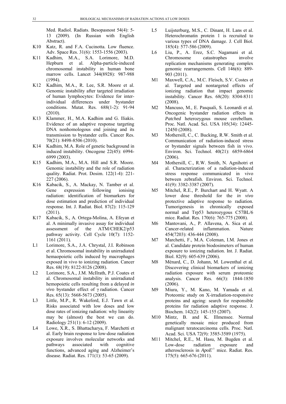Med. Radiol. Radiats. Besopasnost 54(4): 5- 13 (2009). (In Russian with English Abstract).

- K<sub>10</sub> Katz, R. and F.A. Cucinotta. Low fluence. Adv. Space Res. 31(6): 1553-1556 (2003).
- K11 Kadhim, M.A., S.A. Lorimore, M.D. Hepburn et al. Alpha-particle-induced chromosomal instability in human bone marrow cells. Lancet 344(8928): 987-988 (1994).
- K12 Kadhim, M.A., R. Lee, S.R. Moore et al. Genomic instability after targeted irradiation of human lymphocytes: Evidence for interindividual differences under bystander conditions. Mutat. Res. 688(1-2): 91-94 (2010).
- K13 Klammer, H., M.A. Kadhim and G. Iliakis. Evidence of an adaptive response targeting DNA nonhomologous end joining and its transmission to bystander cells. Cancer Res. 70(21): 8498-8506 (2010).
- K14 Kadhim, M.A. Role of genetic background in induced instability. Oncogene 22(45): 6994- 6999 (2003).
- K15 Kadhim, M.A., M.A. Hill and S.R. Moore. Genomic instability and the role of radiation quality. Radiat. Prot. Dosim. 122(1-4): 221- 227 (2006).
- K16 Kabacik, S., A. Mackay, N. Tamber et al. Gene expression following ionising radiation: identification of biomarkers for dose estimation and prediction of individual response. Int. J. Radiat. Biol. 87(2): 115-129 (2011).
- K17 Kabacik, S., A. Ortega-Molina, A. Efeyan et al. A minimally invasive assay for individual assessment of the ATM/CHEK2/p53 pathway activity. Cell Cycle 10(7): 1152- 1161 (2011).
- L1 Lorimore, S.A., J.A. Chrystal, J.I. Robinson et al. Chromosomal instability in unirradiated hemaopoietic cells induced by macrophages exposed in vivo to ionizing radiation. Cancer Res. 68(19): 8122-8126 (2008).
- L2 Lorimore, S.A., J.M. McIlrath, P.J. Coates et al. Chromosomal instability in unirradiated hemopoietic cells resulting from a delayed *in vivo* bystander effect of γ radiation. Cancer Res. 65(13): 5668-5673 (2005).
- L3 Little, M.P., R. Wakeford, E.J. Tawn et al. Risks associated with low doses and low dose rates of ionizing radiation: why linearity may be (almost) the best we can do. Radiology 251(1): 6-12 (2009).
- L4 Lowe, X.R., S. Bhattacharya, F. Marchetti et al. Early brain response to low-dose radiation exposure involves molecular networks and pathways associated with cognitive functions, advanced aging and Alzheimer's disease. Radiat. Res. 171(1): 53-65 (2009).
- L5 Luijsterburg, M.S., C. Dinant, H. Lans et al. Heterochromatin protein 1 is recruited to various types of DNA damage. J. Cell Biol. 185(4): 577-586 (2009).
- L6 Liu, P., A. Erez, S.C. Nagamani et al. Chromosome catastrophes involve replication mechanisms generating complex genomic rearrangements. Cell 146(6): 889- 903 (2011).
- M1 Maxwell, C.A., M.C. Fleisch, S.V. Costes et al. Targeted and nontargeted effects of ionizing radiation that impact genomic instability. Cancer Res. 68(20): 8304-8311 (2008).
- M2 Mancuso, M., E. Pasquali, S. Leonardi et al. Oncogenic bystander radiation effects in *Patched* heterozygous mouse cerebellum. Proc. Natl. Acad. Sci. USA 105(34): 12445- 12450 (2008).
- M3 Mothersill, C., C. Bucking, R.W. Smith et al. Communication of radiation-induced stress or bystander signals between fish in vivo. Environ. Sci. Technol. 40(21): 6859-6864 (2006).
- M4 Mothersill, C., R.W. Smith, N. Agnihotri et al. Characterization of a radiation-induced stress response communicated in vivo between zebrafish. Environ. Sci. Technol. 41(9): 3382-3387 (2007).
- M5 Mitchel, R.E., P. Burchart and H. Wyatt. A lower dose threshold for the *in vivo* protective adaptive response to radiation. Tumorigenesis in chronically exposed normal and Trp53 heterozygous C57BL/6 mice. Radiat. Res. 170(6): 765-775 (2008).
- M6 Mantovani, A., P. Allavena, A. Sica et al. Cancer-related inflammation. Nature 454(7203): 436-444 (2008).
- M7 Marchetti, F., M.A. Coleman, I.M. Jones et al. Candidate protein biodosimeters of human exposure to ionizing radiation. Int. J. Radiat. Biol. 82(9): 605-639 (2006).
- M8 Ménard, C., D. Johann, M. Lowenthal et al. Discovering clinical biomarkers of ionizing radiation exposure with serum proteomic analysis. Cancer Res. 66(3): 1844-1850 (2006).
- M9 Miura, Y., M. Kano, M. Yamada et al. Proteomic study on X-irradiation-responsive proteins and ageing: search for responsible proteins for radiation adaptive response. J. Biochem. 142(2): 145-155 (2007).
- M10 Mintz, B. and K. Illmensee. Normal genetically mosaic mice produced from malignant teratocarcinoma cells. Proc. Natl. Acad. Sci. USA 72(9): 3585-3589 (1975).
- M11 Mitchel, R.E., M. Hasu, M. Bugden et al. Low-dose radiation exposure and atherosclerosis in *ApoE-/-* mice. Radiat. Res. 175(5): 665-676 (2011).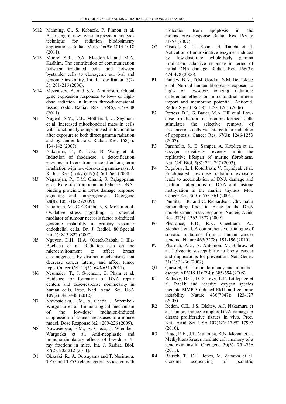- M12 Manning, G., S. Kabacik, P. Finnon et al. Assessing a new gene expression analysis technique for radiation biodosimetry applications. Radiat. Meas. 46(9): 1014-1018 (2011).
- M13 Moore, S.R., D.A. Macdonald and M.A. Kadhim. The contribution of communication between irradiated cells and between bystander cells to clonogenic survival and genomic instability. Int. J. Low Radiat. 3(2- 3): 201-216 (2006).
- M14 Mezentsev, A. and S.A. Amundson. Global gene expression responses to low- or highdose radiation in human three-dimensional tissue model. Radiat. Res. 175(6): 677-688 (2011).
- N1 Nugent, S.M., C.E. Mothersill, C. Seymour et al. Increased mitochondrial mass in cells with functionally compromised mitochondria after exposure to both direct gamma radiation and bystander factors. Radiat. Res. 168(1): 134-142 (2007).
- N2 Nakajima, T., K. Taki, B. Wang et al. Induction of rhodanese, a detoxification enzyme, in livers from mice after long-term irradiation with low-dose-rate gamma-rays. J. Radiat. Res. (Tokyo) 49(6): 661-666 (2008).
- N3 Nagarajan, P., T.M. Onami, S. Rajagopalan et al. Role of chromodomain helicase DNAbinding protein 2 in DNA damage response signaling and tumorigenesis. Oncogene 28(8): 1053-1062 (2009).
- N4 Natarajan, M., C.F. Gibbons, S. Mohan et al. Oxidative stress signalling: a potential mediator of tumour necrosis factor  $\alpha$ -induced genomic instability in primary vascular endothelial cells. Br. J. Radiol. 80(Special No. 1): S13-S22 (2007).
- N5 Nguyen, D.H., H.A. Oketch-Rabah, I. Illa-Bochaca et al. Radiation acts on the microenvironment to affect breast carcinogenesis by distinct mechanisms that decrease cancer latency and affect tumor type. Cancer Cell 19(5): 640-651 (2011).
- N6 Neumaier, T., J. Swenson, C. Pham et al. Evidence for formation of DNA repair centers and dose-response nonlinearity in human cells. Proc. Natl. Acad. Sci. USA 109(2): 443-448 (2012).
- N7 Nowosielska, E.M., A. Cheda, J. Wrembel-Wargocka et al. Immunological mechanism of the low-dose radiation-induced suppression of cancer metastases in a mouse model. Dose Response 8(2): 209-226 (2009).
- N8 Nowosielska, E.M., A. Cheda, J. Wrembel-Wargocka et al. Anti-neoplastic and immunostimulatory effects of low-dose Xray fractions in mice. Int. J. Radiat. Biol. 87(2): 202-212 (2011).
- O1 Okazaki, R., A. Ootsuyama and T. Norimura. TP53 and TP53-related genes associated with

protection from apoptosis in the radioadaptive response. Radiat. Res. 167(1): 51-57 (2007).

- O2 Otsuka, K., T. Koana, H. Tauchi et al. Activation of antioxidative enzymes induced by low-dose-rate whole-body gamma irradiation: adaptive response in terms of initial DNA damage. Radiat. Res. 166(3): 474-478 (2006).
- P1 Pandey, B.N., D.M. Gordon, S.M. De Toledo et al. Normal human fibroblasts exposed to high- or low-dose ionizing radiation: differential effects on mitochondrial protein import and membrane potential. Antioxid. Redox Signal. 8(7-8): 1253-1261 (2006).
- P2 Portess, D.I., G. Bauer, M.A. Hill et al. Lowdose irradiation of nontransformed cells stimulates the selective removal of precancerous cells via intercellular induction of apoptosis. Cancer Res. 67(3): 1246-1253 (2007).
- P3 Parrinello, S., E. Samper, A. Krtolica et al. Oxygen sensitivity severely limits the replicative lifespan of murine fibroblasts. Nat. Cell Biol. 5(8): 741-747 (2003).
- P4 Pogribny, I., I. Koturbash, V. Tryndyak et al. Fractionated low-dose radiation exposure leads to accumulation of DNA damage and profound alterations in DNA and histone methylation in the murine thymus. Mol. Cancer Res. 3(10): 553-561 (2005).
- P5 Pandita, T.K. and C. Richardson. Chromatin remodelling finds its place in the DNA double-strand break response. Nucleic Acids Res. 37(5): 1363-1377 (2009).
- P6 Pleasance, E.D., R.K. Cheetham, P.J. Stephens et al. A comprehensive catalogue of somatic mutations from a human cancer genome. Nature 463(7278): 191-196 (2010).
- P7 Pharoah, P.D., A. Antoniou, M. Bobrow et al. Polygenic susceptibility to breast cancer and implications for prevention. Nat. Genet. 31(1): 33-36 (2002).
- Q1 Quesnel, B. Tumor dormancy and immunoescape. APMIS 116(7-8): 685-694 (2008).
- R1 Radisky, D.C., D.D. Levy, L.E. Littlepage et al. Rac1b and reactive oxygen species mediate MMP-3-induced EMT and genomic instability. Nature 436(7047): 123-127 (2005).
- R2 Redon, C.E., J.S. Dickey, A.J. Nakamura et al. Tumors induce complex DNA damage in distant proliferative tissues in vivo. Proc. Natl. Acad. Sci. USA 107(42): 17992-17997 (2010).
- R3 Rugo, R.E., J.T. Mutamba, K.N. Mohan et al. Methyltransferases mediate cell memory of a genotoxic insult. Oncogene 30(3): 751-756 (2011).
- R4 Rausch, T., D.T. Jones, M. Zapatka et al. Genome sequencing of pediatric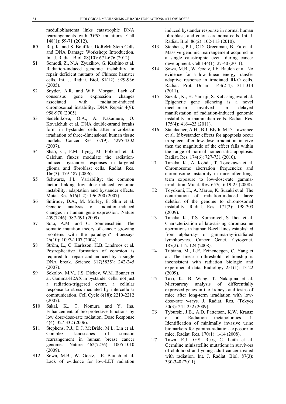medulloblastoma links catastrophic DNA rearrangements with *TP53* mutations. Cell 148(1): 59-71 (2012).

- R5 Raj, K. and S. Bouffler. DoReMi Stem Cells and DNA Damage Workshop: Introduction. Int. J. Radiat. Biol. 88(10): 671-676 (2012).
- S1 Somodi, Z., N.A. Zyuzikov, G. Kashino et al. Radiation-induced genomic instability in repair deficient mutants of Chinese hamster cells. Int. J. Radiat. Biol. 81(12): 929-936 (2005).
- S2 Snyder, A.R. and W.F. Morgan. Lack of consensus gene expression changes associated with radiation-induced chromosomal instability. DNA Repair 4(9): 958-970 (2005).
- S3 Sedelnikova, O.A., A. Nakamura, O. Kovalchuk et al. DNA double-strand breaks form in bystander cells after microbeam irradiation of three-dimensional human tissue models. Cancer Res. 67(9): 4295-4302 (2007).
- S4 Shao, C., F.M. Lyng, M. Folkard et al. Calcium fluxes modulate the radiationinduced bystander responses in targeted glioma and fibroblast cells. Radiat. Res. 166(3): 479-487 (2006).
- S5 Schwartz, J.L. Variability: the common factor linking low dose-induced genomic instability, adaptation and bystander effects. Mutat. Res. 616(1-2): 196-200 (2007).
- S6 Smirnov, D.A., M. Morley, E. Shin et al. Genetic analysis of radiation-induced changes in human gene expression. Nature 459(7246): 587-591 (2009).
- S7 Soto, A.M. and C. Sonnenschein. The somatic mutation theory of cancer: growing problems with the paradigm? Bioessays 26(10): 1097-1107 (2004).
- S8 Ström, L., C. Karlsson, H.B. Lindroos et al. Postreplicative formation of cohesion is required for repair and induced by a single DNA break. Science 317(5835): 242-245 (2007).
- S9 Sokolov, M.V., J.S. Dickey, W.M. Bonner et al. Gamma-H2AX in bystander cells: not just a radiation-triggered event, a cellular response to stress mediated by intercellular communication. Cell Cycle 6(18): 2210-2212 (2007).
- S10 Sakai, K., T. Nomura and Y. Ina. Enhancement of bio-protective functions by low dose/dose-rate radiation. Dose Response 4(4): 327-332 (2006).
- S11 Stephens, P.J., D.J. McBride, M.L. Lin et al. Complex landscapes of somatic rearrangement in human breast cancer genomes. Nature 462(7276): 1005-1010 (2009).
- S12 Sowa, M.B., W. Goetz, J.E. Baulch et al. Lack of evidence for low-LET radiation

induced bystander response in normal human fibroblasts and colon carcinoma cells. Int. J. Radiat. Biol. 86(2): 102-113 (2010).

- S13 Stephens, P.J., C.D. Greenman, B. Fu et al. Massive genomic rearrangement acquired in a single catastrophic event during cancer development. Cell 144(1): 27-40 (2011).
- S14 Sowa, M.B., W. Goetz, J.E. Baulch et al. No evidence for a low linear energy transfer adaptive response in irradiated RKO cells. Radiat. Prot. Dosim. 143(2-4): 311-314 (2011).
- S15 Suzuki, K., H. Yamaji, S. Kobashigawa et al. Epigenetic gene silencing is a novel mechanism involved in delayed manifestation of radiation-induced genomic instability in mammalian cells. Radiat. Res. 175(4): 416-423 (2011).
- S16 Staudacher, A.H., B.J. Blyth, M.D. Lawrence et al. If bystander effects for apoptosis occur in spleen after low-dose irradiation in vivo then the magnitude of the effect falls within the range of normal homeostatic apoptosis. Radiat. Res. 174(6): 727-731 (2010).
- T1 Tanaka, K., A. Kohda, T. Toyokawa et al. Chromosome aberration frequencies and chromosome instability in mice after longterm exposure to low-dose-rate gammairradiation. Mutat. Res. 657(1): 19-25 (2008).
- T2 Toyokuni, H., A. Maruo, K. Suzuki et al. The contribution of radiation-induced large deletion of the genome to chromosomal instability. Radiat. Res. 171(2): 198-203 (2009).
- T3 Tanaka, K., T.S. Kumaravel, S. Ihda et al. Characterization of late-arising chromosome aberrations in human B-cell lines established from alpha-ray- or gamma-ray-irradiated lymphocytes. Cancer Genet. Cytogenet. 187(2): 112-124 (2008).
- T4 Tubiana, M., L.E. Feinendegen, C. Yang et al. The linear no-threshold relationship is inconsistent with radiation biologic and experimental data. Radiology 251(1): 13-22 (2009).
- T5 Taki, K., B. Wang, T. Nakajima et al. Microarrray analysis of differentially expressed genes in the kidneys and testes of mice after long-term irradiation with lowdose-rate γ-rays. J. Radiat. Res. (Tokyo) 50(3): 241-252 (2009).
- T6 Tyburski, J.B., A.D. Patterson, K.W. Krausz et al. Radiation metabolomics. 1. Identification of minimally invasive urine biomarkers for gamma-radiation exposure in mice. Radiat. Res. 170(1): 1-14 (2008).
- T7 Tawn, E.J., G.S. Rees, C. Leith et al. Germline minisatellite mutations in survivors of childhood and young adult cancer treated with radiation. Int. J. Radiat. Biol. 87(3): 330-340 (2011).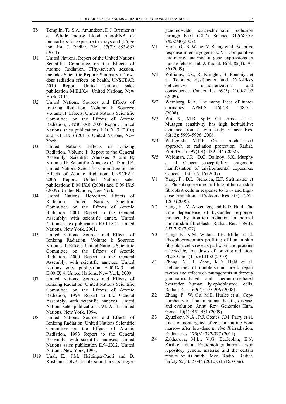- T8 Templin, T., S.A. Amundson, D.J. Brenner et al. Whole mouse blood microRNA as biomarkers for exposure to  $\gamma$ -rays and (56)Fe ion. Int. J. Radiat. Biol. 87(7): 653-662 (2011).
- U1 United Nations. Report of the United Nations Scientific Committee on the Effects of Atomic Radiation. Fifty-seventh session, includes Scientific Report: Summary of lowdose radiation effects on health. UNSCEAR 2010 Report. United Nations sales publication M.II.IX.4. United Nations, New York, 2011.
- U2 United Nations. Sources and Effects of Ionizing Radiation. Volume I: Sources; Volume II: Effects. United Nations Scientific Committee on the Effects of Atomic Radiation, UNSCEAR 2008 Report. United Nations sales publications E.10.XI.3 (2010) and E.11.IX.3 (2011). United Nations, New York.
- U3 United Nations. Effects of Ionizing Radiation. Volume I: Report to the General Assembly, Scientific Annexes A and B; Volume II: Scientific Annexes C, D and E. United Nations Scientific Committee on the Effects of Atomic Radiation, UNSCEAR 2006 Report. United Nations sales publications E.08.IX.6 (2008) and E.09.IX.5 (2009). United Nations, New York.
- U4 United Nations. Hereditary Effects of Radiation. United Nations Scientific Committee on the Effects of Atomic Radiation, 2001 Report to the General Assembly, with scientific annex. United Nations sales publication E.01.IX.2. United Nations, New York, 2001.
- U5 United Nations. Sources and Effects of Ionizing Radiation. Volume I: Sources; Volume II: Effects. United Nations Scientific Committee on the Effects of Atomic Radiation, 2000 Report to the General Assembly, with scientific annexes. United Nations sales publication E.00.IX.3 and E.00.IX.4. United Nations, New York, 2000.
- U7 United Nations. Sources and Effects of Ionizing Radiation. United Nations Scientific Committee on the Effects of Atomic Radiation, 1994 Report to the General Assembly, with scientific annexes. United Nations sales publication E.94.IX.11. United Nations, New York, 1994.
- U8 United Nations. Sources and Effects of Ionizing Radiation. United Nations Scientific Committee on the Effects of Atomic Radiation, 1993 Report to the General Assembly, with scientific annexes. United Nations sales publication E.94.IX.2. United Nations, New York, 1993.
- U19 Ünal, E., J.M. Heidinger-Pauli and D. Koshland. DNA double-strand breaks trigger

genome-wide sister-chromatid cohesion through Eco1 (Ctf7). Science 317(5835): 245-248 (2007).

- V1 Vares, G., B. Wang, Y. Shang et al. Adaptive response in embryogenesis: VI. Comparative microarray analysis of gene expressions in mouse fetuses. Int. J. Radiat. Biol. 85(1): 70- 86 (2009).
- W1 Williams, E.S., R. Klingler, B. Ponnaiya et al. Telomere dysfunction and DNA-PKcs deficiency: characterization and consequence. Cancer Res. 69(5): 2100-2107 (2009).
- W2 Weinberg, R.A. The many faces of tumor dormancy. APMIS 116(7-8): 548-551 (2008).
- W3 Wu, X., M.R. Spitz, C.I. Amos et al. Mutagen sensitivity has high heritability: evidence from a twin study. Cancer Res. 66(12): 5993-5996 (2006).
- W4 Waligórski, M.P.R. On a model-based approach to radiation protection. Radiat. Prot. Dosim. 99(1-4): 439-444 (2002).
- W5 Weidman, J.R., D.C. Dolinoy, S.K. Murphy et al. Cancer susceptibility: epigenetic manifestation of environmental exposures. Cancer J. 13(1): 9-16 (2007).
- Y1 Yang, F., D.L. Stenoien, E.F. Strittmatter et al. Phosphoproteome profiling of human skin fibroblast cells in response to low- and highdose irradiation. J. Proteome Res. 5(5): 1252- 1260 (2006).
- Y2 Yang, H., V. Anzenberg and K.D. Held. The time dependence of bystander responses induced by iron-ion radiation in normal human skin fibroblasts. Radiat. Res. 168(3): 292-298 (2007).
- Y3 Yang, F., K.M. Waters, J.H. Miller et al. Phosphoproteomics profiling of human skin fibroblast cells reveals pathways and proteins affected by low doses of ionizing radiation. PLoS One 5(11): e14152 (2010).
- Z1 Zhang, Y., J. Zhou, K.D. Held et al. Deficiencies of double-strand break repair factors and effects on mutagenesis in directly gamma-irradiated and medium-mediated bystander human lymphoblastoid cells. Radiat. Res. 169(2): 197-206 (2008).
- Z2 Zhang, F., W. Gu, M.E. Hurles et al. Copy number variation in human health, disease, and evolution. Annu. Rev. Genomics Hum. Genet. 10(1): 451-481 (2009).
- Z3 Zyuzikov, N.A., P.J. Coates, J.M. Parry et al. Lack of nontargeted effects in murine bone marrow after low-dose *in vivo* X irradiation. Radiat. Res. 175(3): 322-327 (2011).
- Z4 Zakharova, M.L., V.G. Bezlepkin, E.N. Kirillova et al. Radiobiology human tissue repository genetic material and the certain results of its study. Med. Radiol. Radiat. Safety 55(3): 27-45 (2010). (In Russian).